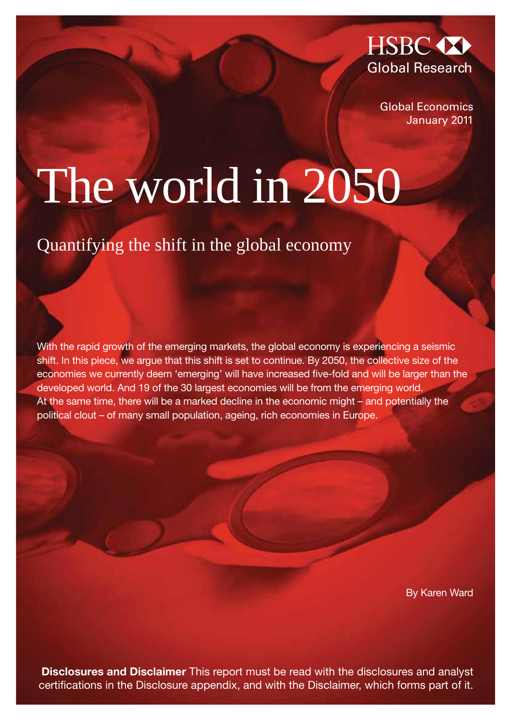

Global Economics January 2011

# The world in 2050

Quantifying the shift in the global economy

With the rapid growth of the emerging markets, the global economy is experiencing a seismic shift. In this piece, we argue that this shift is set to continue. By 2050, the collective size of the economies we currently deem 'emerging' will have increased five-fold and will be larger than the developed world. And 19 of the 30 largest economies will be from the emerging world. At the same time, there will be a marked decline in the economic might – and potentially the political clout – of many small population, ageing, rich economies in Europe.

By Karen Ward

Disclosures and Disclaimer This report must be read with the disclosures and analyst certifications in the Disclosure appendix, and with the Disclaimer, which forms part of it.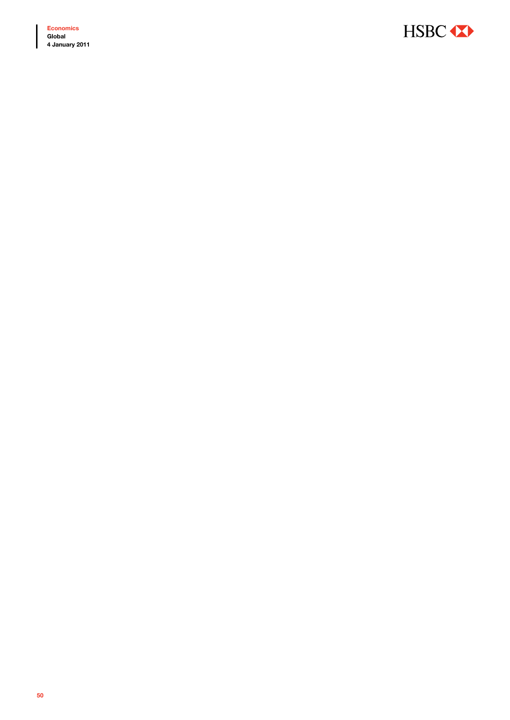Economics Global 4 January 2011

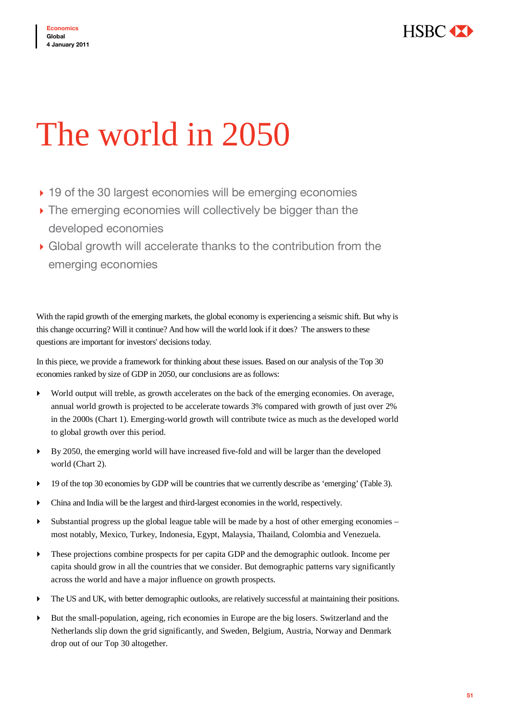#### **Economics** Global 4 January 2011



## The world in 2050

- ▶ 19 of the 30 largest economies will be emerging economies
- ▶ The emerging economies will collectively be bigger than the developed economies
- Global growth will accelerate thanks to the contribution from the emerging economies

With the rapid growth of the emerging markets, the global economy is experiencing a seismic shift. But why is this change occurring? Will it continue? And how will the world look if it does? The answers to these questions are important for investors' decisions today.

In this piece, we provide a framework for thinking about these issues. Based on our analysis of the Top 30 economies ranked by size of GDP in 2050, our conclusions are as follows:

- World output will treble, as growth accelerates on the back of the emerging economies. On average, annual world growth is projected to be accelerate towards 3% compared with growth of just over 2% in the 2000s (Chart 1). Emerging-world growth will contribute twice as much as the developed world to global growth over this period.
- By 2050, the emerging world will have increased five-fold and will be larger than the developed world (Chart 2).
- 19 of the top 30 economies by GDP will be countries that we currently describe as 'emerging' (Table 3).
- China and India will be the largest and third-largest economies in the world, respectively.
- $\blacktriangleright$  Substantial progress up the global league table will be made by a host of other emerging economies most notably, Mexico, Turkey, Indonesia, Egypt, Malaysia, Thailand, Colombia and Venezuela.
- These projections combine prospects for per capita GDP and the demographic outlook. Income per capita should grow in all the countries that we consider. But demographic patterns vary significantly across the world and have a major influence on growth prospects.
- ▶ The US and UK, with better demographic outlooks, are relatively successful at maintaining their positions.
- But the small-population, ageing, rich economies in Europe are the big losers. Switzerland and the Netherlands slip down the grid significantly, and Sweden, Belgium, Austria, Norway and Denmark drop out of our Top 30 altogether.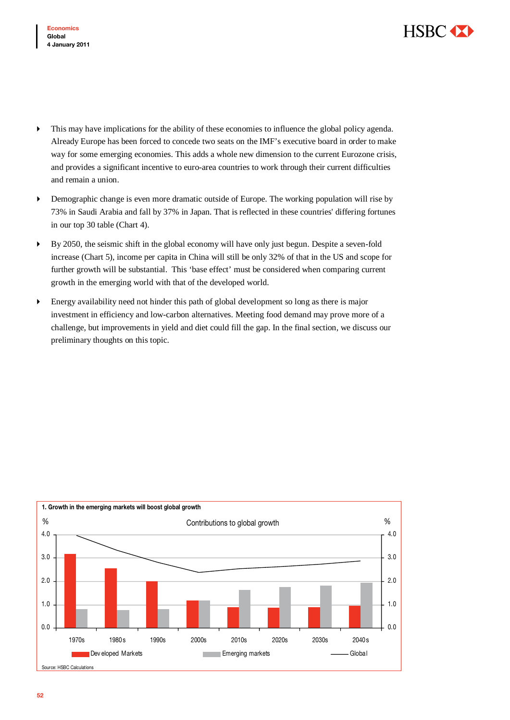

- This may have implications for the ability of these economies to influence the global policy agenda. Already Europe has been forced to concede two seats on the IMF's executive board in order to make way for some emerging economies. This adds a whole new dimension to the current Eurozone crisis, and provides a significant incentive to euro-area countries to work through their current difficulties and remain a union.
- Demographic change is even more dramatic outside of Europe. The working population will rise by 73% in Saudi Arabia and fall by 37% in Japan. That is reflected in these countries' differing fortunes in our top 30 table (Chart 4).
- By 2050, the seismic shift in the global economy will have only just begun. Despite a seven-fold increase (Chart 5), income per capita in China will still be only 32% of that in the US and scope for further growth will be substantial. This 'base effect' must be considered when comparing current growth in the emerging world with that of the developed world.
- Energy availability need not hinder this path of global development so long as there is major investment in efficiency and low-carbon alternatives. Meeting food demand may prove more of a challenge, but improvements in yield and diet could fill the gap. In the final section, we discuss our preliminary thoughts on this topic.

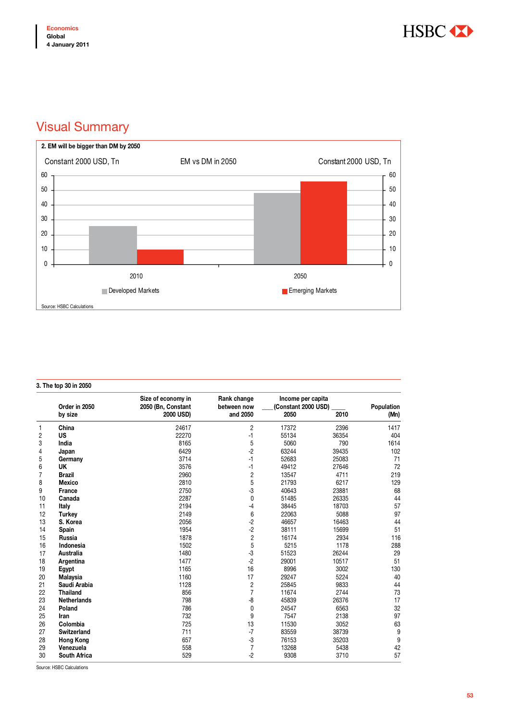

### Visual Summary



### 3. The top 30 in 2050

|    | Order in 2050       | Size of economy in<br>2050 (Bn, Constant | Rank change<br>between now | (Constant 2000 USD) | Income per capita | Population |
|----|---------------------|------------------------------------------|----------------------------|---------------------|-------------------|------------|
|    | by size             | 2000 USD)                                | and 2050                   | 2050                | 2010              | (Mn)       |
| 1  | China               | 24617                                    | $\overline{2}$             | 17372               | 2396              | 1417       |
| 2  | <b>US</b>           | 22270                                    | $-1$                       | 55134               | 36354             | 404        |
| 3  | India               | 8165                                     | 5                          | 5060                | 790               | 1614       |
| 4  | Japan               | 6429                                     | $-2$                       | 63244               | 39435             | 102        |
| 5  | Germany             | 3714                                     | $-1$                       | 52683               | 25083             | 71         |
| 6  | UK                  | 3576                                     | $-1$                       | 49412               | 27646             | 72         |
| 7  | <b>Brazil</b>       | 2960                                     | $\overline{c}$             | 13547               | 4711              | 219        |
| 8  | <b>Mexico</b>       | 2810                                     | 5                          | 21793               | 6217              | 129        |
| 9  | <b>France</b>       | 2750                                     | $-3$                       | 40643               | 23881             | 68         |
| 10 | Canada              | 2287                                     | 0                          | 51485               | 26335             | 44         |
| 11 | Italy               | 2194                                     | $-4$                       | 38445               | 18703             | 57         |
| 12 | <b>Turkey</b>       | 2149                                     | 6                          | 22063               | 5088              | 97         |
| 13 | S. Korea            | 2056                                     | $-2$                       | 46657               | 16463             | 44         |
| 14 | Spain               | 1954                                     | $-2$                       | 38111               | 15699             | 51         |
| 15 | <b>Russia</b>       | 1878                                     | $\overline{2}$             | 16174               | 2934              | 116        |
| 16 | Indonesia           | 1502                                     | 5                          | 5215                | 1178              | 288        |
| 17 | Australia           | 1480                                     | $-3$                       | 51523               | 26244             | 29         |
| 18 | Argentina           | 1477                                     | $-2$                       | 29001               | 10517             | 51         |
| 19 | Egypt               | 1165                                     | 16                         | 8996                | 3002              | 130        |
| 20 | Malaysia            | 1160                                     | 17                         | 29247               | 5224              | 40         |
| 21 | Saudi Arabia        | 1128                                     | $\overline{c}$             | 25845               | 9833              | 44         |
| 22 | <b>Thailand</b>     | 856                                      | $\overline{7}$             | 11674               | 2744              | 73         |
| 23 | <b>Netherlands</b>  | 798                                      | -8                         | 45839               | 26376             | 17         |
| 24 | Poland              | 786                                      | 0                          | 24547               | 6563              | 32         |
| 25 | Iran                | 732                                      | 9                          | 7547                | 2138              | 97         |
| 26 | Colombia            | 725                                      | 13                         | 11530               | 3052              | 63         |
| 27 | <b>Switzerland</b>  | 711                                      | $-7$                       | 83559               | 38739             | 9          |
| 28 | <b>Hong Kong</b>    | 657                                      | $-3$                       | 76153               | 35203             | 9          |
| 29 | Venezuela           | 558                                      | $\overline{7}$             | 13268               | 5438              | 42         |
| 30 | <b>South Africa</b> | 529                                      | $-2$                       | 9308                | 3710              | 57         |

Source: HSBC Calculations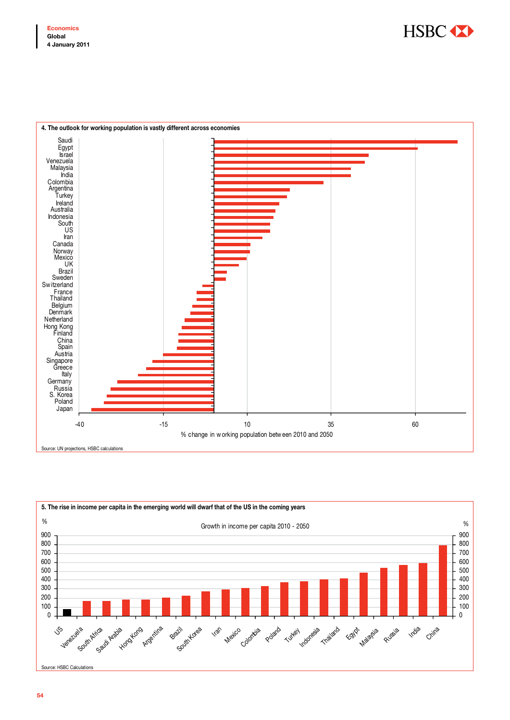

HSBC <>



#### 54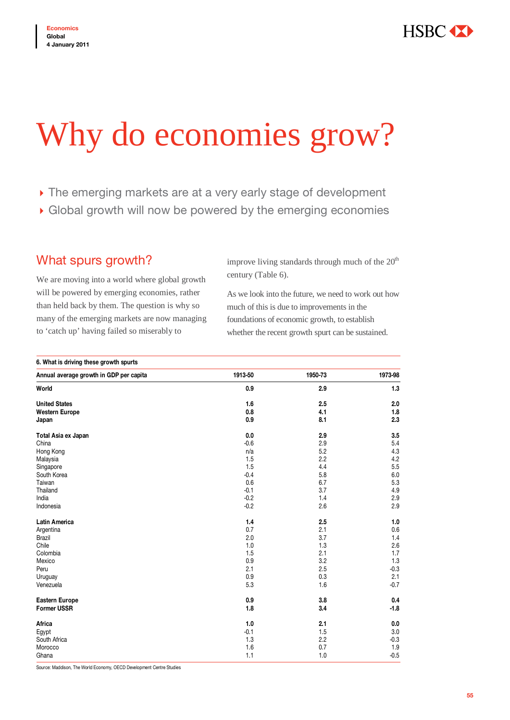

## Why do economies grow?

- $\rightarrow$  The emerging markets are at a very early stage of development
- Global growth will now be powered by the emerging economies

### What spurs growth?

We are moving into a world where global growth will be powered by emerging economies, rather than held back by them. The question is why so many of the emerging markets are now managing to 'catch up' having failed so miserably to

improve living standards through much of the  $20<sup>th</sup>$ century (Table 6).

As we look into the future, we need to work out how much of this is due to improvements in the foundations of economic growth, to establish whether the recent growth spurt can be sustained.

| 6. What is driving these growth spurts  |         |         |         |  |  |  |
|-----------------------------------------|---------|---------|---------|--|--|--|
| Annual average growth in GDP per capita | 1913-50 | 1950-73 | 1973-98 |  |  |  |
| World                                   | 0.9     | 2.9     | 1.3     |  |  |  |
| <b>United States</b>                    | 1.6     | 2.5     | 2.0     |  |  |  |
| <b>Western Europe</b>                   | 0.8     | 4.1     | 1.8     |  |  |  |
| Japan                                   | 0.9     | 8.1     | 2.3     |  |  |  |
| Total Asia ex Japan                     | 0.0     | 2.9     | 3.5     |  |  |  |
| China                                   | $-0.6$  | 2.9     | 5.4     |  |  |  |
| Hong Kong                               | n/a     | 5.2     | 4.3     |  |  |  |
| Malaysia                                | 1.5     | 2.2     | 4.2     |  |  |  |
| Singapore                               | 1.5     | 4.4     | 5.5     |  |  |  |
| South Korea                             | $-0.4$  | 5.8     | 6.0     |  |  |  |
| Taiwan                                  | 0.6     | 6.7     | 5.3     |  |  |  |
| Thailand                                | $-0.1$  | 3.7     | 4.9     |  |  |  |
| India                                   | $-0.2$  | 1.4     | 2.9     |  |  |  |
| Indonesia                               | $-0.2$  | 2.6     | 2.9     |  |  |  |
| <b>Latin America</b>                    | 1.4     | 2.5     | 1.0     |  |  |  |
| Argentina                               | 0.7     | 2.1     | 0.6     |  |  |  |
| <b>Brazil</b>                           | 2.0     | 3.7     | 1.4     |  |  |  |
| Chile                                   | 1.0     | 1.3     | 2.6     |  |  |  |
| Colombia                                | 1.5     | 2.1     | 1.7     |  |  |  |
| Mexico                                  | 0.9     | 3.2     | 1.3     |  |  |  |
| Peru                                    | 2.1     | 2.5     | $-0.3$  |  |  |  |
| Uruguay                                 | 0.9     | 0.3     | 2.1     |  |  |  |
| Venezuela                               | 5.3     | 1.6     | $-0.7$  |  |  |  |
| <b>Eastern Europe</b>                   | 0.9     | 3.8     | 0.4     |  |  |  |
| <b>Former USSR</b>                      | 1.8     | 3.4     | $-1.8$  |  |  |  |
| Africa                                  | 1.0     | 2.1     | 0.0     |  |  |  |
| Egypt                                   | $-0.1$  | 1.5     | 3.0     |  |  |  |
| South Africa                            | 1.3     | 2.2     | $-0.3$  |  |  |  |
| Morocco                                 | 1.6     | 0.7     | 1.9     |  |  |  |
| Ghana                                   | 1.1     | 1.0     | $-0.5$  |  |  |  |

Source: Maddison, The World Economy, OECD Development Centre Studies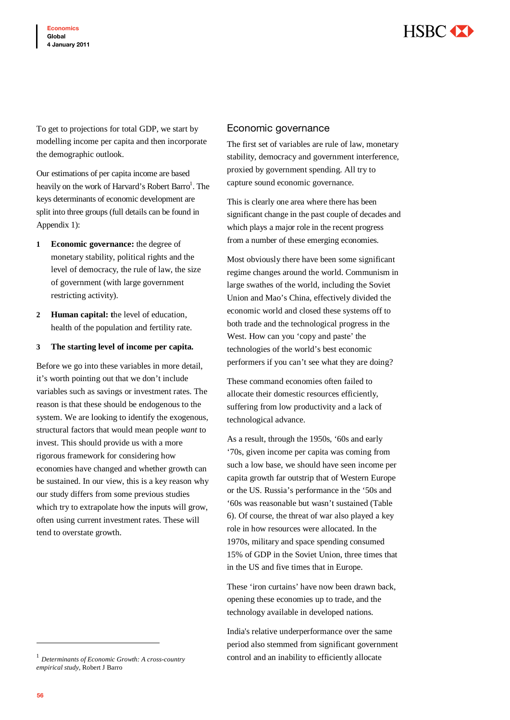

To get to projections for total GDP, we start by modelling income per capita and then incorporate the demographic outlook.

Our estimations of per capita income are based heavily on the work of Harvard's Robert Barro<sup>1</sup>. The keys determinants of economic development are split into three groups (full details can be found in Appendix 1):

- **1 Economic governance:** the degree of monetary stability, political rights and the level of democracy, the rule of law, the size of government (with large government restricting activity).
- **2 Human capital: t**he level of education, health of the population and fertility rate.

### **3 The starting level of income per capita.**

Before we go into these variables in more detail, it's worth pointing out that we don't include variables such as savings or investment rates. The reason is that these should be endogenous to the system. We are looking to identify the exogenous, structural factors that would mean people *want* to invest. This should provide us with a more rigorous framework for considering how economies have changed and whether growth can be sustained. In our view, this is a key reason why our study differs from some previous studies which try to extrapolate how the inputs will grow, often using current investment rates. These will tend to overstate growth.

### Economic governance

The first set of variables are rule of law, monetary stability, democracy and government interference, proxied by government spending. All try to capture sound economic governance.

This is clearly one area where there has been significant change in the past couple of decades and which plays a major role in the recent progress from a number of these emerging economies.

Most obviously there have been some significant regime changes around the world. Communism in large swathes of the world, including the Soviet Union and Mao's China, effectively divided the economic world and closed these systems off to both trade and the technological progress in the West. How can you 'copy and paste' the technologies of the world's best economic performers if you can't see what they are doing?

These command economies often failed to allocate their domestic resources efficiently, suffering from low productivity and a lack of technological advance.

As a result, through the 1950s, '60s and early '70s, given income per capita was coming from such a low base, we should have seen income per capita growth far outstrip that of Western Europe or the US. Russia's performance in the '50s and '60s was reasonable but wasn't sustained (Table 6). Of course, the threat of war also played a key role in how resources were allocated. In the 1970s, military and space spending consumed 15% of GDP in the Soviet Union, three times that in the US and five times that in Europe.

These 'iron curtains' have now been drawn back, opening these economies up to trade, and the technology available in developed nations.

India's relative underperformance over the same period also stemmed from significant government control and an inability to efficiently allocate

 $\overline{a}$ 

<sup>1</sup> *Determinants of Economic Growth: A cross-country empirical study*, Robert J Barro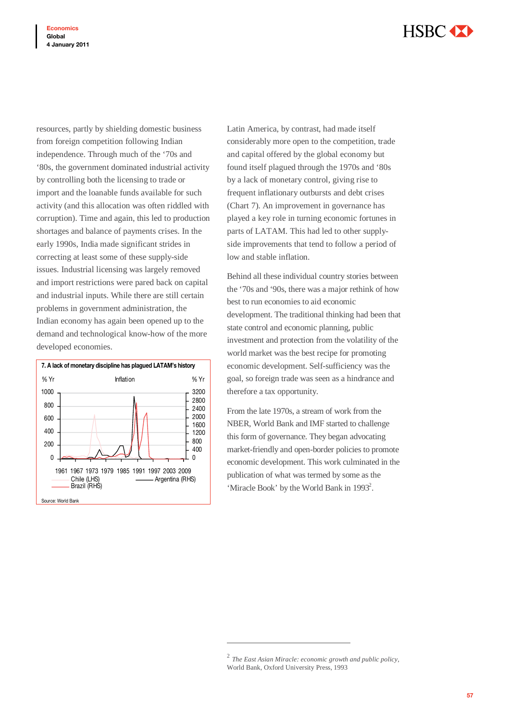

resources, partly by shielding domestic business from foreign competition following Indian independence. Through much of the '70s and '80s, the government dominated industrial activity by controlling both the licensing to trade or import and the loanable funds available for such activity (and this allocation was often riddled with corruption). Time and again, this led to production shortages and balance of payments crises. In the early 1990s, India made significant strides in correcting at least some of these supply-side issues. Industrial licensing was largely removed and import restrictions were pared back on capital and industrial inputs. While there are still certain problems in government administration, the Indian economy has again been opened up to the demand and technological know-how of the more developed economies.



Latin America, by contrast, had made itself considerably more open to the competition, trade and capital offered by the global economy but found itself plagued through the 1970s and '80s by a lack of monetary control, giving rise to frequent inflationary outbursts and debt crises (Chart 7). An improvement in governance has played a key role in turning economic fortunes in parts of LATAM. This had led to other supplyside improvements that tend to follow a period of low and stable inflation.

Behind all these individual country stories between the '70s and '90s, there was a major rethink of how best to run economies to aid economic development. The traditional thinking had been that state control and economic planning, public investment and protection from the volatility of the world market was the best recipe for promoting economic development. Self-sufficiency was the goal, so foreign trade was seen as a hindrance and therefore a tax opportunity.

From the late 1970s, a stream of work from the NBER, World Bank and IMF started to challenge this form of governance. They began advocating market-friendly and open-border policies to promote economic development. This work culminated in the publication of what was termed by some as the 'Miracle Book' by the World Bank in 1993<sup>2</sup>.

-

<sup>2</sup> *The East Asian Miracle: economic growth and public policy*, World Bank, Oxford University Press, 1993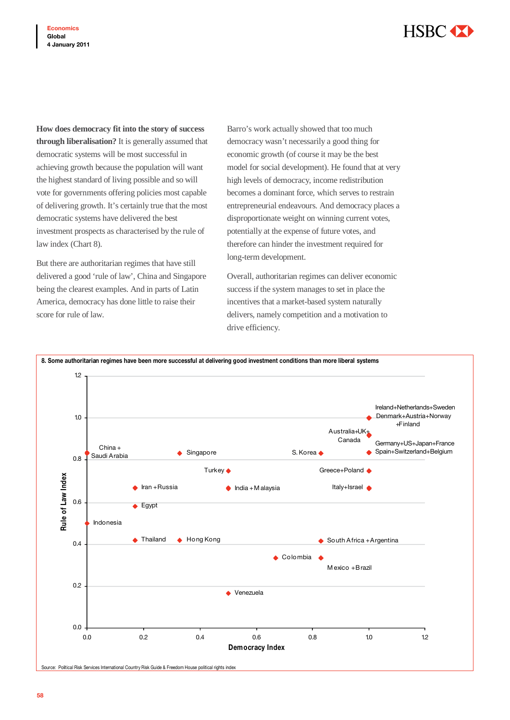

**How does democracy fit into the story of success through liberalisation?** It is generally assumed that democratic systems will be most successful in achieving growth because the population will want the highest standard of living possible and so will vote for governments offering policies most capable of delivering growth. It's certainly true that the most democratic systems have delivered the best investment prospects as characterised by the rule of law index (Chart 8).

But there are authoritarian regimes that have still delivered a good 'rule of law', China and Singapore being the clearest examples. And in parts of Latin America, democracy has done little to raise their score for rule of law.

Barro's work actually showed that too much democracy wasn't necessarily a good thing for economic growth (of course it may be the best model for social development). He found that at very high levels of democracy, income redistribution becomes a dominant force, which serves to restrain entrepreneurial endeavours. And democracy places a disproportionate weight on winning current votes, potentially at the expense of future votes, and therefore can hinder the investment required for long-term development.

Overall, authoritarian regimes can deliver economic success if the system manages to set in place the incentives that a market-based system naturally delivers, namely competition and a motivation to drive efficiency.

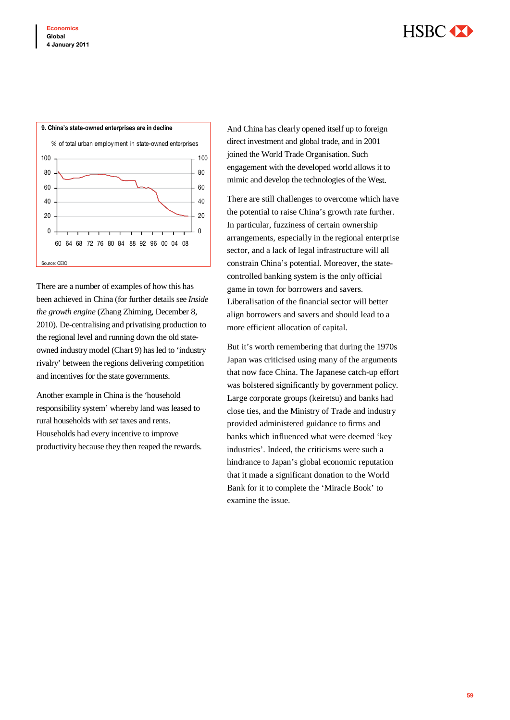

There are a number of examples of how this has been achieved in China (for further details see *Inside the growth engine* (Zhang Zhiming, December 8, 2010). De-centralising and privatising production to the regional level and running down the old stateowned industry model (Chart 9) has led to 'industry rivalry' between the regions delivering competition and incentives for the state governments.

Another example in China is the 'household responsibility system' whereby land was leased to rural households with *set* taxes and rents. Households had every incentive to improve productivity because they then reaped the rewards.

And China has clearly opened itself up to foreign direct investment and global trade, and in 2001 joined the World Trade Organisation. Such engagement with the developed world allows it to mimic and develop the technologies of the West.

**HSBC (X)** 

There are still challenges to overcome which have the potential to raise China's growth rate further. In particular, fuzziness of certain ownership arrangements, especially in the regional enterprise sector, and a lack of legal infrastructure will all constrain China's potential. Moreover, the statecontrolled banking system is the only official game in town for borrowers and savers. Liberalisation of the financial sector will better align borrowers and savers and should lead to a more efficient allocation of capital.

But it's worth remembering that during the 1970s Japan was criticised using many of the arguments that now face China. The Japanese catch-up effort was bolstered significantly by government policy. Large corporate groups (keiretsu) and banks had close ties, and the Ministry of Trade and industry provided administered guidance to firms and banks which influenced what were deemed 'key industries'. Indeed, the criticisms were such a hindrance to Japan's global economic reputation that it made a significant donation to the World Bank for it to complete the 'Miracle Book' to examine the issue.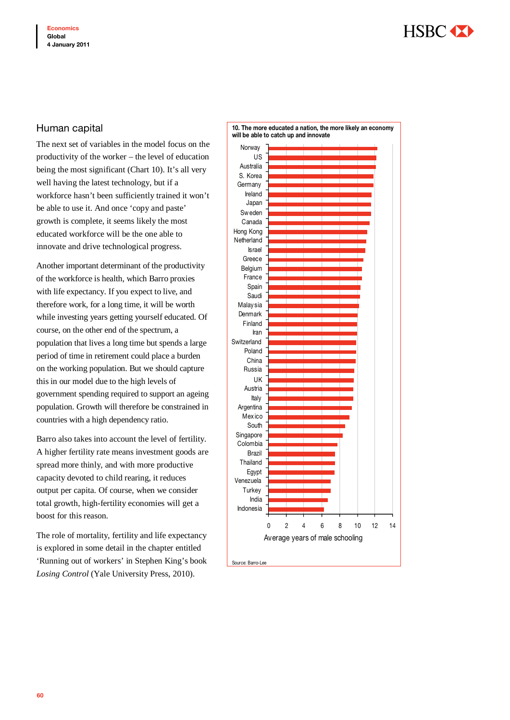

### Human capital

The next set of variables in the model focus on the productivity of the worker – the level of education being the most significant (Chart 10). It's all very well having the latest technology, but if a workforce hasn't been sufficiently trained it won't be able to use it. And once 'copy and paste' growth is complete, it seems likely the most educated workforce will be the one able to innovate and drive technological progress.

Another important determinant of the productivity of the workforce is health, which Barro proxies with life expectancy. If you expect to live, and therefore work, for a long time, it will be worth while investing years getting yourself educated. Of course, on the other end of the spectrum, a population that lives a long time but spends a large period of time in retirement could place a burden on the working population. But we should capture this in our model due to the high levels of government spending required to support an ageing population. Growth will therefore be constrained in countries with a high dependency ratio.

Barro also takes into account the level of fertility. A higher fertility rate means investment goods are spread more thinly, and with more productive capacity devoted to child rearing, it reduces output per capita. Of course, when we consider total growth, high-fertility economies will get a boost for this reason.

The role of mortality, fertility and life expectancy is explored in some detail in the chapter entitled 'Running out of workers' in Stephen King's book *Losing Control* (Yale University Press, 2010).

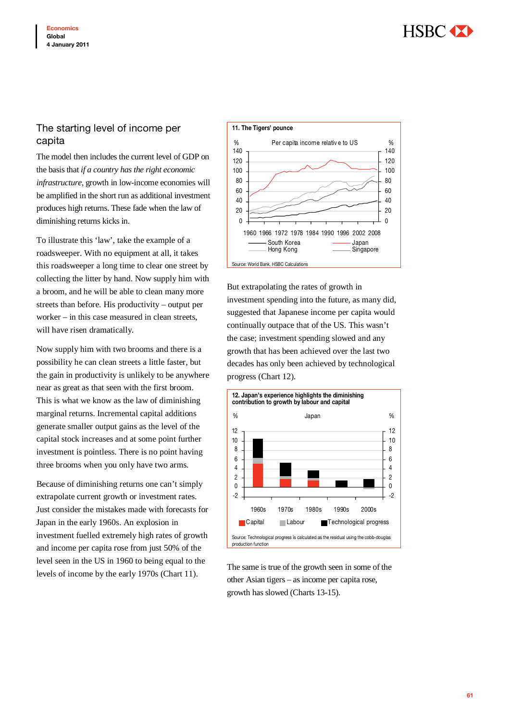

### The starting level of income per capita

The model then includes the current level of GDP on the basis that *if a country has the right economic infrastructure*, growth in low-income economies will be amplified in the short run as additional investment produces high returns. These fade when the law of diminishing returns kicks in.

To illustrate this 'law', take the example of a roadsweeper. With no equipment at all, it takes this roadsweeper a long time to clear one street by collecting the litter by hand. Now supply him with a broom, and he will be able to clean many more streets than before. His productivity – output per worker – in this case measured in clean streets, will have risen dramatically.

Now supply him with two brooms and there is a possibility he can clean streets a little faster, but the gain in productivity is unlikely to be anywhere near as great as that seen with the first broom. This is what we know as the law of diminishing marginal returns. Incremental capital additions generate smaller output gains as the level of the capital stock increases and at some point further investment is pointless. There is no point having three brooms when you only have two arms.

Because of diminishing returns one can't simply extrapolate current growth or investment rates. Just consider the mistakes made with forecasts for Japan in the early 1960s. An explosion in investment fuelled extremely high rates of growth and income per capita rose from just 50% of the level seen in the US in 1960 to being equal to the levels of income by the early 1970s (Chart 11).



But extrapolating the rates of growth in investment spending into the future, as many did, suggested that Japanese income per capita would continually outpace that of the US. This wasn't the case; investment spending slowed and any growth that has been achieved over the last two decades has only been achieved by technological progress (Chart 12).



The same is true of the growth seen in some of the other Asian tigers – as income per capita rose, growth has slowed (Charts 13-15).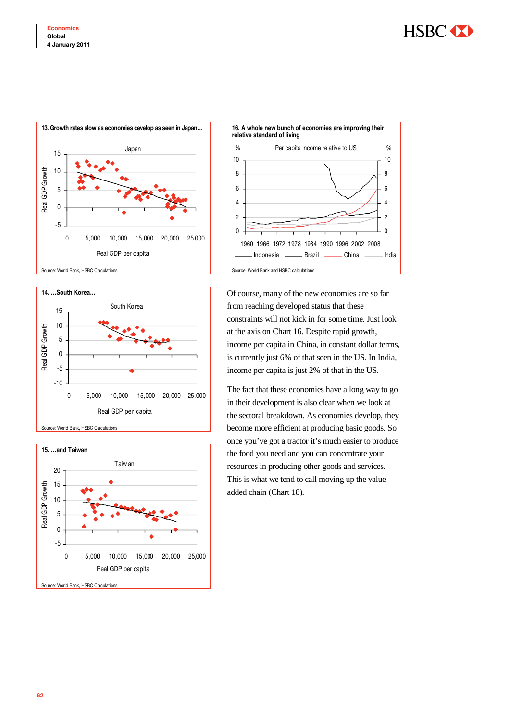







HSBC <>

Of course, many of the new economies are so far from reaching developed status that these constraints will not kick in for some time. Just look at the axis on Chart 16. Despite rapid growth, income per capita in China, in constant dollar terms, is currently just 6% of that seen in the US. In India, income per capita is just 2% of that in the US.

The fact that these economies have a long way to go in their development is also clear when we look at the sectoral breakdown. As economies develop, they become more efficient at producing basic goods. So once you've got a tractor it's much easier to produce the food you need and you can concentrate your resources in producing other goods and services. This is what we tend to call moving up the valueadded chain (Chart 18).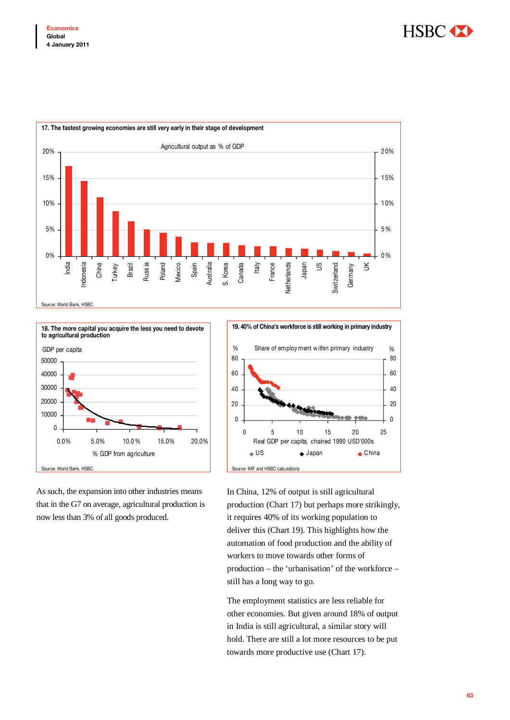





As such, the expansion into other industries means that in the G7 on average, agricultural production is now less than 3% of all goods produced.



In China, 12% of output is still agricultural production (Chart 17) but perhaps more strikingly, it requires 40% of its working population to deliver this (Chart 19). This highlights how the automation of food production and the ability of workers to move towards other forms of production – the 'urbanisation' of the workforce – still has a long way to go.

The employment statistics are less reliable for other economies. But given around 18% of output in India is still agricultural, a similar story will hold. There are still a lot more resources to be put towards more productive use (Chart 17).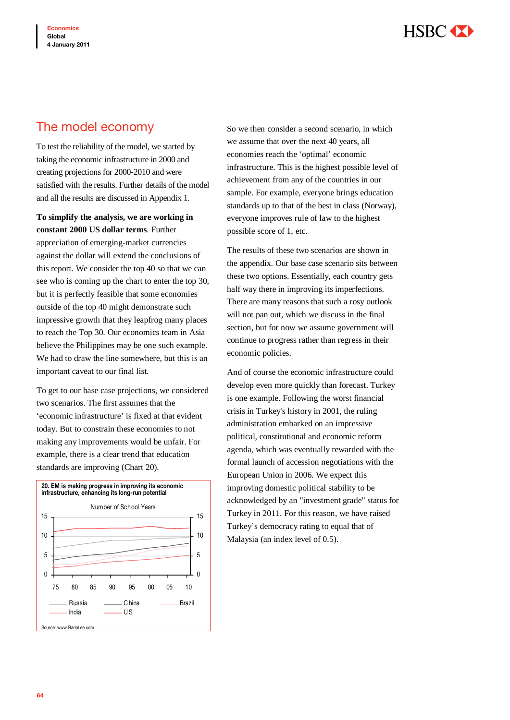

### The model economy

To test the reliability of the model, we started by taking the economic infrastructure in 2000 and creating projections for 2000-2010 and were satisfied with the results. Further details of the model and all the results are discussed in Appendix 1.

**To simplify the analysis, we are working in constant 2000 US dollar terms**. Further appreciation of emerging-market currencies against the dollar will extend the conclusions of this report. We consider the top 40 so that we can see who is coming up the chart to enter the top 30, but it is perfectly feasible that some economies outside of the top 40 might demonstrate such impressive growth that they leapfrog many places to reach the Top 30. Our economics team in Asia believe the Philippines may be one such example. We had to draw the line somewhere, but this is an important caveat to our final list.

To get to our base case projections, we considered two scenarios. The first assumes that the 'economic infrastructure' is fixed at that evident today. But to constrain these economies to not making any improvements would be unfair. For example, there is a clear trend that education standards are improving (Chart 20).



So we then consider a second scenario, in which we assume that over the next 40 years, all economies reach the 'optimal' economic infrastructure. This is the highest possible level of achievement from any of the countries in our sample. For example, everyone brings education standards up to that of the best in class (Norway), everyone improves rule of law to the highest possible score of 1, etc.

The results of these two scenarios are shown in the appendix. Our base case scenario sits between these two options. Essentially, each country gets half way there in improving its imperfections. There are many reasons that such a rosy outlook will not pan out, which we discuss in the final section, but for now we assume government will continue to progress rather than regress in their economic policies.

And of course the economic infrastructure could develop even more quickly than forecast. Turkey is one example. Following the worst financial crisis in Turkey's history in 2001, the ruling administration embarked on an impressive political, constitutional and economic reform agenda, which was eventually rewarded with the formal launch of accession negotiations with the European Union in 2006. We expect this improving domestic political stability to be acknowledged by an "investment grade" status for Turkey in 2011. For this reason, we have raised Turkey's democracy rating to equal that of Malaysia (an index level of 0.5).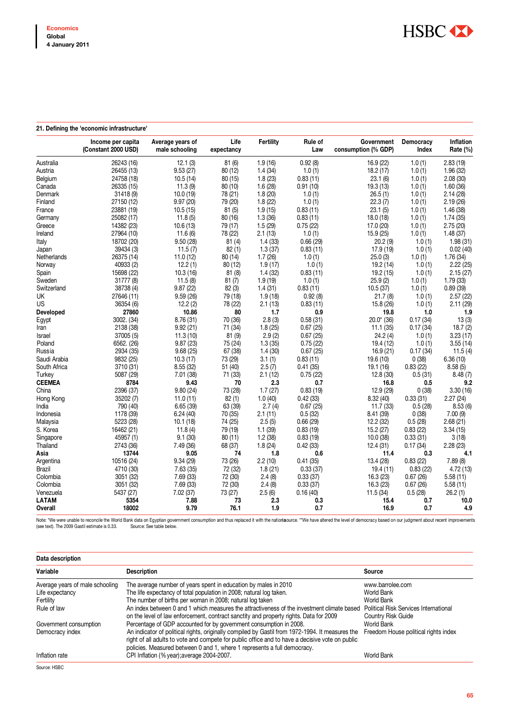

### 21. Defining the 'economic infrastructure'

|               | Income per capita<br>(Constant 2000 USD) | Average years of<br>male schooling | Life<br>expectancy | Fertility | Rule of<br>Law | Government<br>consumption (% GDP) | Democracy<br>Index | Inflation<br>Rate (%) |
|---------------|------------------------------------------|------------------------------------|--------------------|-----------|----------------|-----------------------------------|--------------------|-----------------------|
| Australia     | 26243 (16)                               | 12.1(3)                            | 81(6)              | 1.9(16)   | 0.92(8)        | 16.9 (22)                         | 1.0(1)             | 2.83(19)              |
| Austria       | 26455 (13)                               | 9.53(27)                           | 80(12)             | 1.4(34)   | 1.0(1)         | 18.2 (17)                         | 1.0(1)             | 1.96(32)              |
| Belgium       | 24758 (18)                               | 10.5(14)                           | 80 (15)            | 1.8(23)   | 0.83(11)       | 23.1(6)                           | 1.0(1)             | 2.08(30)              |
| Canada        | 26335 (15)                               | 11.3(9)                            | 80 (10)            | 1.6(28)   | 0.91(10)       | 19.3 (13)                         | 1.0(1)             | 1.60 (36)             |
| Denmark       | 31418 (9)                                | 10.0 (19)                          | 78 (21)            | 1.8(20)   | 1.0(1)         | 26.5(1)                           | 1.0(1)             | 2.14(28)              |
| Finland       | 27150 (12)                               | 9.97 (20)                          | 79 (20)            | 1.8(22)   | 1.0(1)         | 22.3(7)                           | 1.0(1)             | 2.19(26)              |
| France        | 23881 (19)                               | 10.5(15)                           | 81(5)              | 1.9(15)   | 0.83(11)       | 23.1(5)                           | 1.0(1)             | 1.46(38)              |
| Germany       | 25082 (17)                               | 11.8(5)                            | 80 (16)            | 1.3(36)   | 0.83(11)       | 18.0(18)                          | 1.0(1)             | 1.74(35)              |
| Greece        | 14382 (23)                               | 10.6(13)                           | 79 (17)            | 1.5(29)   | 0.75(22)       | 17.0 (20)                         | 1.0(1)             | 2.75(20)              |
| Ireland       | 27964 (10)                               | 11.6(6)                            | 78 (22)            | 2.1(13)   | 1.0(1)         | 15.9 (25)                         | 1.0(1)             | 1.48(37)              |
| Italy         | 18702 (20)                               | 9.50(28)                           | 81(4)              | 1.4(33)   | 0.66(29)       | 20.2(9)                           | 1.0(1)             | 1.98(31)              |
| Japan         | 39434 (3)                                | 11.5(7)                            | 82(1)              | 1.3(37)   | 0.83(11)       | 17.9 (19)                         | 1.0(1)             | 0.02(40)              |
| Netherlands   | 26375 (14)                               | 11.0(12)                           | 80 (14)            | 1.7(26)   | 1.0(1)         | 25.0(3)                           | 1.0(1)             | 1.76(34)              |
| Norway        | 40933 (2)                                | 12.2(1)                            | 80(12)             | 1.9(17)   | 1.0(1)         | 19.2 (14)                         | 1.0(1)             | 2.22(25)              |
| Spain         | 15698 (22)                               | 10.3(16)                           | 81(8)              | 1.4(32)   | 0.83(11)       | 19.2 (15)                         | 1.0(1)             | 2.15(27)              |
| Sweden        | 31777 (8)                                | 11.5(8)                            | 81(7)              | 1.9(19)   | 1.0(1)         | 25.9(2)                           | 1.0(1)             | 1.79(33)              |
| Switzerland   | 38738 (4)                                | 9.87(22)                           | 82 (3)             | 1.4(31)   | 0.83(11)       | 10.5(37)                          | 1.0(1)             | 0.89(39)              |
| UK            | 27646 (11)                               | 9.59(26)                           | 79 (18)            | 1.9(18)   | 0.92(8)        | 21.7(8)                           | 1.0(1)             | 2.57(22)              |
| US            | 36354 (6)                                | 12.2(2)                            | 78 (22)            | 2.1(13)   | 0.83(11)       | 15.8 (26)                         | 1.0(1)             | 2.11 (29)             |
| Developed     | 27860                                    | 10.86                              | 80                 | 1.7       | 0.9            | 19.8                              | 1.0                | 1.9                   |
| Egypt         | 3002. (34)                               | 8.76(31)                           | 70 (36)            | 2.8(3)    | 0.58(31)       | $20.0^*$ (36)                     | 0.17(34)           | 13(3)                 |
| Iran          | 2138 (38)                                | 9.92(21)                           | 71 (34)            | 1.8(25)   | 0.67(25)       | 11.1(35)                          | 0.17(34)           | 18.7(2)               |
| Israel        | 37005 (5)                                | 11.3(10)                           | 81(9)              | 2.9(2)    | 0.67(25)       | 24.2(4)                           | 1.0(1)             | 3.23(17)              |
| Poland        | 6562. (26)                               | 9.87(23)                           | 75 (24)            | 1.3(35)   | 0.75(22)       | 19.4 (12)                         | 1.0(1)             | 3.55(14)              |
| Russia        | 2934 (35)                                | 9.68(25)                           | 67 (38)            | 1.4(30)   | 0.67(25)       | 16.9(21)                          | 0.17(34)           | 11.5(4)               |
| Saudi Arabia  | 9832 (25)                                | 10.3(17)                           | 73 (29)            | 3.1(1)    | 0.83(11)       | 19.6 (10)                         | 0(38)              | 6.36(10)              |
| South Africa  | 3710 (31)                                | 8.55(32)                           | 51 (40)            | 2.5(7)    | 0.41(35)       | 19.1 (16)                         | 0.83(22)           | 8.58(5)               |
| Turkey        | 5087 (29)                                | 7.01 (38)                          | 71 (33)            | 2.1(12)   | 0.75(22)       | 12.8(30)                          | 0.5(31)            | 8.48(7)               |
| <b>CEEMEA</b> | 8784                                     | 9.43                               | 70                 | 2.3       | 0.7            | 16.8                              | 0.5                | 9.2                   |
| China         | 2396 (37)                                | 9.80(24)                           | 73 (28)            | 1.7(27)   | 0.83(19)       | 12.9 (29)                         | 0(38)              | 3.30(16)              |
| Hong Kong     | 35202 (7)                                | 11.0(11)                           | 82(1)              | 1.0(40)   | 0.42(33)       | 8.32 (40)                         | 0.33(31)           | 2.27(24)              |
| India         | 790 (40)                                 | 6.65(39)                           | 63 (39)            | 2.7(4)    | 0.67(25)       | 11.7(33)                          | 0.5(28)            | 8.53(6)               |
| Indonesia     | 1178 (39)                                | 6.24(40)                           | 70 (35)            | 2.1(11)   | 0.5(32)        | 8.41 (39)                         | 0(38)              | 7.00(9)               |
| Malaysia      | 5223 (28)                                | 10.1(18)                           | 74 (25)            | 2.5(5)    | 0.66(29)       | 12.2 (32)                         | 0.5(28)            | 2.68(21)              |
| S. Korea      | 16462 (21)                               | 11.8(4)                            | 79 (19)            | 1.1(39)   | 0.83(19)       | 15.2 (27)                         | 0.83(22)           | 3.34(15)              |
| Singapore     | 45957 (1)                                | 9.1(30)                            | 80(11)             | 1.2(38)   | 0.83(19)       | 10.0 (38)                         | 0.33(31)           | 3(18)                 |
| Thailand      | 2743 (36)                                | 7.49 (36)                          | 68 (37)            | 1.8(24)   | 0.42(33)       | 12.4(31)                          | 0.17(34)           | 2.28(23)              |
| Asia          | 13744                                    | 9.05                               | 74                 | 1.8       | 0.6            | 11.4                              | 0.3                | 4.1                   |
| Argentina     | 10516 (24)                               | 9.34(29)                           | 73 (26)            | 2.2(10)   | 0.41(35)       | 13.4 (28)                         | 0.83(22)           | 7.89(8)               |
| <b>Brazil</b> | 4710 (30)                                | 7.63(35)                           | 72 (32)            | 1.8(21)   | 0.33(37)       | 19.4(11)                          | 0.83(22)           | 4.72(13)              |
| Colombia      | 3051 (32)                                | 7.69 (33)                          | 72 (30)            | 2.4(8)    | 0.33(37)       | 16.3 (23)                         | 0.67(26)           | 5.58(11)              |
| Colombia      | 3051 (32)                                | 7.69 (33)                          | 72 (30)            | 2.4(8)    | 0.33(37)       | 16.3 (23)                         | 0.67(26)           | 5.58(11)              |
| Venezuela     | 5437 (27)                                | 7.02(37)                           | 73 (27)            | 2.5(6)    | 0.16(40)       | 11.5(34)                          | 0.5(28)            | 26.2(1)               |
| LATAM         | 5354                                     | 7.88                               | 73                 | 2.3       | 0.3            | 15.4                              | 0.7                | 10.0                  |
| Overall       | 18002                                    | 9.79                               | 76.1               | 1.9       | 0.7            | 16.9                              | 0.7                | 4.9                   |

Note: "We were unable to reconcile the World Bank data on Egyptian government consumption and thus replaced it with the nationsource. \*\*We have altered the level of democracy based on our judgment about recent improvements

| Data description                |                                                                                                                                                                                                                                                                                |                                      |  |  |  |  |  |
|---------------------------------|--------------------------------------------------------------------------------------------------------------------------------------------------------------------------------------------------------------------------------------------------------------------------------|--------------------------------------|--|--|--|--|--|
| Variable                        | <b>Description</b>                                                                                                                                                                                                                                                             | Source                               |  |  |  |  |  |
| Average years of male schooling | The average number of years spent in education by males in 2010                                                                                                                                                                                                                | www.barrolee.com                     |  |  |  |  |  |
| Life expectancy                 | The life expectancy of total population in 2008; natural log taken.                                                                                                                                                                                                            | World Bank                           |  |  |  |  |  |
| Fertility                       | The number of births per woman in 2008; natural log taken                                                                                                                                                                                                                      | <b>World Bank</b>                    |  |  |  |  |  |
| Rule of law                     | An index between 0 and 1 which measures the attractiveness of the investment climate based Political Risk Services International                                                                                                                                               |                                      |  |  |  |  |  |
|                                 | on the level of law enforcement, contract sanctity and property rights. Data for 2009                                                                                                                                                                                          | Country Risk Guide                   |  |  |  |  |  |
| Government consumption          | Percentage of GDP accounted for by government consumption in 2008.                                                                                                                                                                                                             | World Bank                           |  |  |  |  |  |
| Democracy index                 | An indicator of political rights, originally compiled by Gastil from 1972-1994. It measures the<br>right of all adults to vote and compete for public office and to have a decisive vote on public<br>policies. Measured between 0 and 1, where 1 represents a full democracy. | Freedom House political rights index |  |  |  |  |  |
| Inflation rate                  | CPI Inflation (% year); average 2004-2007.                                                                                                                                                                                                                                     | <b>World Bank</b>                    |  |  |  |  |  |
| Source: HSBC                    |                                                                                                                                                                                                                                                                                |                                      |  |  |  |  |  |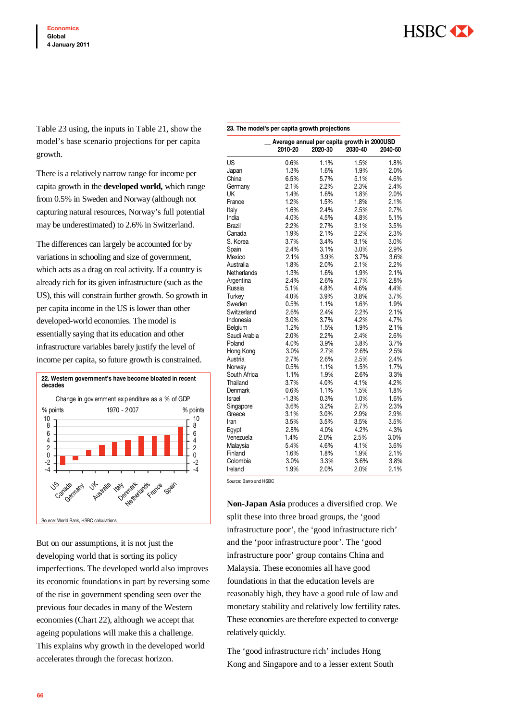

Table 23 using, the inputs in Table 21, show the model's base scenario projections for per capita growth.

There is a relatively narrow range for income per capita growth in the **developed world,** which range from 0.5% in Sweden and Norway (although not capturing natural resources, Norway's full potential may be underestimated) to 2.6% in Switzerland.

The differences can largely be accounted for by variations in schooling and size of government, which acts as a drag on real activity. If a country is already rich for its given infrastructure (such as the US), this will constrain further growth. So growth in per capita income in the US is lower than other developed-world economies. The model is essentially saying that its education and other infrastructure variables barely justify the level of income per capita, so future growth is constrained.



But on our assumptions, it is not just the developing world that is sorting its policy imperfections. The developed world also improves its economic foundations in part by reversing some of the rise in government spending seen over the previous four decades in many of the Western economies (Chart 22), although we accept that ageing populations will make this a challenge. This explains why growth in the developed world accelerates through the forecast horizon.

|              | 2010-20 | Average annual per capita growth in 2000USD<br>2020-30 | 2030-40 | 2040-50 |
|--------------|---------|--------------------------------------------------------|---------|---------|
| US           | 0.6%    | 1.1%                                                   | 1.5%    | 1.8%    |
| Japan        | 1.3%    | 1.6%                                                   | 1.9%    | 2.0%    |
| China        | 6.5%    | 5.7%                                                   | 5.1%    | 4.6%    |
| Germany      | 2.1%    | 2.2%                                                   | 2.3%    | 2.4%    |
| UK           | 1.4%    | 1.6%                                                   | 1.8%    | 2.0%    |
| France       | 1.2%    | 1.5%                                                   | 1.8%    | 2.1%    |
| Italy        | 1.6%    | 2.4%                                                   | 2.5%    | 2.7%    |
| India        | 4.0%    | 4.5%                                                   | 4.8%    | 5.1%    |
| Brazil       | 2.2%    | 2.7%                                                   | 3.1%    | 3.5%    |
| Canada       | 1.9%    | 2.1%                                                   | 2.2%    | 2.3%    |
| S. Korea     | 3.7%    | 3.4%                                                   | 3.1%    | 3.0%    |
| Spain        | 2.4%    | 3.1%                                                   | 3.0%    | 2.9%    |
| Mexico       | 2.1%    | 3.9%                                                   | 3.7%    | 3.6%    |
| Australia    | 1.8%    | 2.0%                                                   | 2.1%    | 2.2%    |
| Netherlands  | 1.3%    | 1.6%                                                   | 1.9%    | 2.1%    |
| Argentina    | 2.4%    | 2.6%                                                   | 2.7%    | 2.8%    |
| Russia       | 5.1%    | 4.8%                                                   | 4.6%    | 4.4%    |
| Turkey       | 4.0%    | 3.9%                                                   | 3.8%    | 3.7%    |
| Sweden       | 0.5%    | 1.1%                                                   | 1.6%    | 1.9%    |
| Switzerland  | 2.6%    | 2.4%                                                   | 2.2%    | 2.1%    |
| Indonesia    | 3.0%    | 3.7%                                                   | 4.2%    | 4.7%    |
| Belgium      | 1.2%    | 1.5%                                                   | 1.9%    | 2.1%    |
| Saudi Arabia | 2.0%    | 2.2%                                                   | 2.4%    | 2.6%    |
| Poland       | 4.0%    | 3.9%                                                   | 3.8%    | 3.7%    |
| Hong Kong    | 3.0%    | 2.7%                                                   | 2.6%    | 2.5%    |
| Austria      | 2.7%    | 2.6%                                                   | 2.5%    | 2.4%    |
| Norway       | 0.5%    | 1.1%                                                   | 1.5%    | 1.7%    |
| South Africa | 1.1%    | 1.9%                                                   | 2.6%    | 3.3%    |
| Thailand     | 3.7%    | 4.0%                                                   | 4.1%    | 4.2%    |
| Denmark      | 0.6%    | 1.1%                                                   | 1.5%    | 1.8%    |
| Israel       | $-1.3%$ | 0.3%                                                   | 1.0%    | 1.6%    |
| Singapore    | 3.6%    | 3.2%                                                   | 2.7%    | 2.3%    |
| Greece       | 3.1%    | 3.0%                                                   | 2.9%    | 2.9%    |
| Iran         | 3.5%    | 3.5%                                                   | 3.5%    | 3.5%    |
| Egypt        | 2.8%    | 4.0%                                                   | 4.2%    | 4.3%    |
| Venezuela    | 1.4%    | 2.0%                                                   | 2.5%    | 3.0%    |
| Malaysia     | 5.4%    | 4.6%                                                   | 4.1%    | 3.6%    |
| Finland      | 1.6%    | 1.8%                                                   | 1.9%    | 2.1%    |
| Colombia     | 3.0%    | 3.3%                                                   | 3.6%    | 3.8%    |
| Ireland      | 1.9%    | 2.0%                                                   | 2.0%    | 2.1%    |

Source: Barro and HSBC

**Non-Japan Asia** produces a diversified crop. We split these into three broad groups, the 'good infrastructure poor', the 'good infrastructure rich' and the 'poor infrastructure poor'. The 'good infrastructure poor' group contains China and Malaysia. These economies all have good foundations in that the education levels are reasonably high, they have a good rule of law and monetary stability and relatively low fertility rates. These economies are therefore expected to converge relatively quickly.

The 'good infrastructure rich' includes Hong Kong and Singapore and to a lesser extent South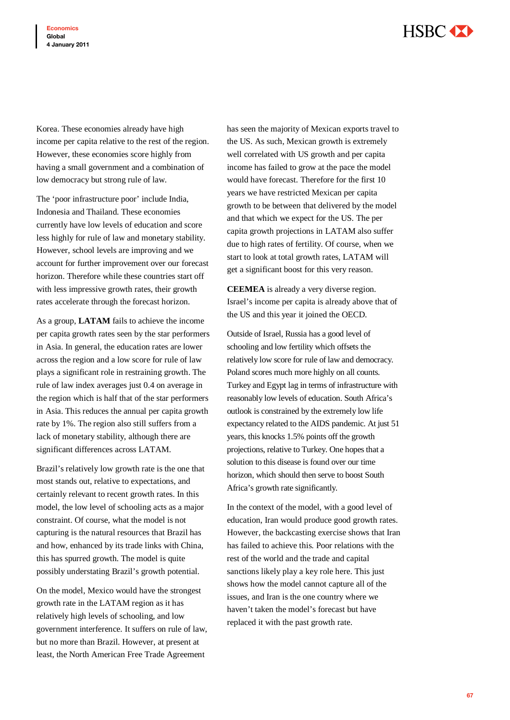

Korea. These economies already have high income per capita relative to the rest of the region. However, these economies score highly from having a small government and a combination of low democracy but strong rule of law.

The 'poor infrastructure poor' include India, Indonesia and Thailand. These economies currently have low levels of education and score less highly for rule of law and monetary stability. However, school levels are improving and we account for further improvement over our forecast horizon. Therefore while these countries start off with less impressive growth rates, their growth rates accelerate through the forecast horizon.

As a group, **LATAM** fails to achieve the income per capita growth rates seen by the star performers in Asia. In general, the education rates are lower across the region and a low score for rule of law plays a significant role in restraining growth. The rule of law index averages just 0.4 on average in the region which is half that of the star performers in Asia. This reduces the annual per capita growth rate by 1%. The region also still suffers from a lack of monetary stability, although there are significant differences across LATAM.

Brazil's relatively low growth rate is the one that most stands out, relative to expectations, and certainly relevant to recent growth rates. In this model, the low level of schooling acts as a major constraint. Of course, what the model is not capturing is the natural resources that Brazil has and how, enhanced by its trade links with China, this has spurred growth. The model is quite possibly understating Brazil's growth potential.

On the model, Mexico would have the strongest growth rate in the LATAM region as it has relatively high levels of schooling, and low government interference. It suffers on rule of law, but no more than Brazil. However, at present at least, the North American Free Trade Agreement

has seen the majority of Mexican exports travel to the US. As such, Mexican growth is extremely well correlated with US growth and per capita income has failed to grow at the pace the model would have forecast. Therefore for the first 10 years we have restricted Mexican per capita growth to be between that delivered by the model and that which we expect for the US. The per capita growth projections in LATAM also suffer due to high rates of fertility. Of course, when we start to look at total growth rates, LATAM will get a significant boost for this very reason.

**CEEMEA** is already a very diverse region. Israel's income per capita is already above that of the US and this year it joined the OECD.

Outside of Israel, Russia has a good level of schooling and low fertility which offsets the relatively low score for rule of law and democracy. Poland scores much more highly on all counts. Turkey and Egypt lag in terms of infrastructure with reasonably low levels of education. South Africa's outlook is constrained by the extremely low life expectancy related to the AIDS pandemic. At just 51 years, this knocks 1.5% points off the growth projections, relative to Turkey. One hopes that a solution to this disease is found over our time horizon, which should then serve to boost South Africa's growth rate significantly.

In the context of the model, with a good level of education, Iran would produce good growth rates. However, the backcasting exercise shows that Iran has failed to achieve this. Poor relations with the rest of the world and the trade and capital sanctions likely play a key role here. This just shows how the model cannot capture all of the issues, and Iran is the one country where we haven't taken the model's forecast but have replaced it with the past growth rate.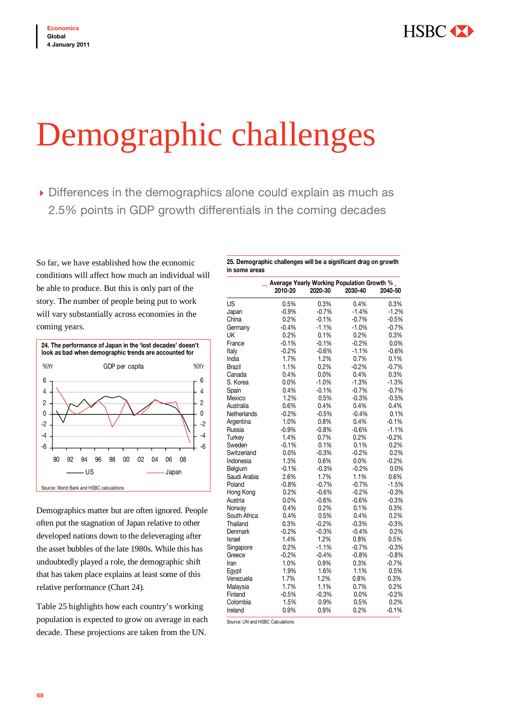

## Demographic challenges

Differences in the demographics alone could explain as much as 2.5% points in GDP growth differentials in the coming decades

So far, we have established how the economic conditions will affect how much an individual will be able to produce. But this is only part of the story. The number of people being put to work will vary substantially across economies in the coming years.



Demographics matter but are often ignored. People often put the stagnation of Japan relative to other developed nations down to the deleveraging after the asset bubbles of the late 1980s. While this has undoubtedly played a role, the demographic shift that has taken place explains at least some of this relative performance (Chart 24).

Table 25 highlights how each country's working population is expected to grow on average in each decade. These projections are taken from the UN.

| 25. Demographic challenges will be a significant drag on growth |  |  |  |
|-----------------------------------------------------------------|--|--|--|
| in some areas                                                   |  |  |  |

|              | 2010-20 | Average Yearly Working Population Growth %<br>2020-30 | 2030-40 | 2040-50 |
|--------------|---------|-------------------------------------------------------|---------|---------|
| <b>US</b>    | 0.5%    | 0.3%                                                  | 0.4%    | 0.3%    |
| Japan        | $-0.9%$ | $-0.7%$                                               | $-1.4%$ | $-1.2%$ |
| China        | 0.2%    | $-0.1%$                                               | $-0.7%$ | $-0.5%$ |
| Germany      | $-0.4%$ | $-1.1%$                                               | $-1.0%$ | $-0.7%$ |
| UK           | 0.2%    | 0.1%                                                  | 0.2%    | 0.3%    |
| France       | $-0.1%$ | $-0.1%$                                               | $-0.2%$ | 0.0%    |
| Italy        | $-0.2%$ | $-0.6%$                                               | $-1.1%$ | $-0.6%$ |
| India        | 1.7%    | 1.2%                                                  | 0.7%    | 0.1%    |
| Brazil       | 1.1%    | 0.2%                                                  | $-0.2%$ | $-0.7%$ |
| Canada       | 0.4%    | 0.0%                                                  | 0.4%    | 0.3%    |
| S. Korea     | $0.0\%$ | $-1.0%$                                               | $-1.3%$ | $-1.3%$ |
| Spain        | 0.4%    | $-0.1%$                                               | $-0.7%$ | $-0.7%$ |
| Mexico       | 1.2%    | 0.5%                                                  | $-0.3%$ | $-0.5%$ |
| Australia    | 0.6%    | 0.4%                                                  | 0.4%    | 0.4%    |
| Netherlands  | $-0.2%$ | $-0.5%$                                               | $-0.4%$ | 0.1%    |
| Argentina    | 1.0%    | 0.8%                                                  | 0.4%    | $-0.1%$ |
| Russia       | $-0.9%$ | $-0.8%$                                               | $-0.6%$ | $-1.1%$ |
| Turkey       | 1.4%    | 0.7%                                                  | 0.2%    | $-0.2%$ |
| Sweden       | $-0.1%$ | 0.1%                                                  | 0.1%    | 0.2%    |
| Switzerland  | 0.0%    | $-0.3%$                                               | $-0.2%$ | 0.2%    |
| Indonesia    | 1.3%    | 0.6%                                                  | 0.0%    | $-0.2%$ |
| Belgium      | $-0.1%$ | $-0.3%$                                               | $-0.2%$ | 0.0%    |
| Saudi Arabia | 2.6%    | 1.7%                                                  | 1.1%    | 0.6%    |
| Poland       | $-0.8%$ | $-0.7%$                                               | $-0.7%$ | $-1.5%$ |
| Hong Kong    | 0.2%    | $-0.6%$                                               | $-0.2%$ | $-0.3%$ |
| Austria      | 0.0%    | $-0.6%$                                               | $-0.6%$ | $-0.3%$ |
| Norway       | 0.4%    | 0.2%                                                  | 0.1%    | 0.3%    |
| South Africa | 0.4%    | 0.5%                                                  | 0.4%    | 0.2%    |
| Thailand     | 0.3%    | $-0.2%$                                               | $-0.3%$ | $-0.3%$ |
| Denmark      | $-0.2%$ | $-0.3%$                                               | $-0.4%$ | 0.2%    |
| Israel       | 1.4%    | 1.2%                                                  | 0.8%    | 0.5%    |
| Singapore    | 0.2%    | $-1.1%$                                               | $-0.7%$ | $-0.3%$ |
| Greece       | $-0.2%$ | $-0.4%$                                               | $-0.8%$ | $-0.8%$ |
| Iran         | 1.0%    | 0.9%                                                  | 0.3%    | $-0.7%$ |
| Egypt        | 1.9%    | 1.6%                                                  | 1.1%    | 0.5%    |
| Venezuela    | 1.7%    | 1.2%                                                  | 0.8%    | 0.3%    |
| Malaysia     | 1.7%    | 1.1%                                                  | 0.7%    | 0.2%    |
| Finland      | $-0.5%$ | $-0.3%$                                               | 0.0%    | $-0.2%$ |
| Colombia     | 1.5%    | 0.9%                                                  | 0.5%    | 0.2%    |
| Ireland      | 0.9%    | 0.9%                                                  | 0.2%    | $-0.1%$ |

Source: UN and HSBC Calculations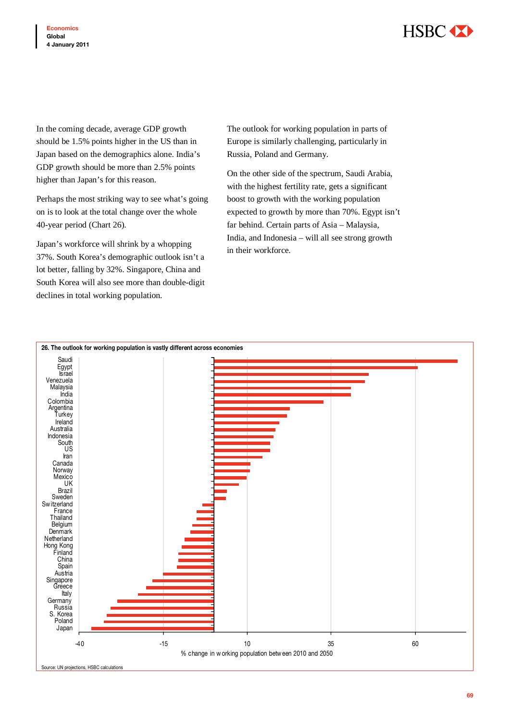Economics Global 4 January 2011



In the coming decade, average GDP growth should be 1.5% points higher in the US than in Japan based on the demographics alone. India's GDP growth should be more than 2.5% points higher than Japan's for this reason.

Perhaps the most striking way to see what's going on is to look at the total change over the whole 40-year period (Chart 26).

Japan's workforce will shrink by a whopping 37%. South Korea's demographic outlook isn't a lot better, falling by 32%. Singapore, China and South Korea will also see more than double-digit declines in total working population.

The outlook for working population in parts of Europe is similarly challenging, particularly in Russia, Poland and Germany.

On the other side of the spectrum, Saudi Arabia, with the highest fertility rate, gets a significant boost to growth with the working population expected to growth by more than 70%. Egypt isn't far behind. Certain parts of Asia – Malaysia, India, and Indonesia – will all see strong growth in their workforce.

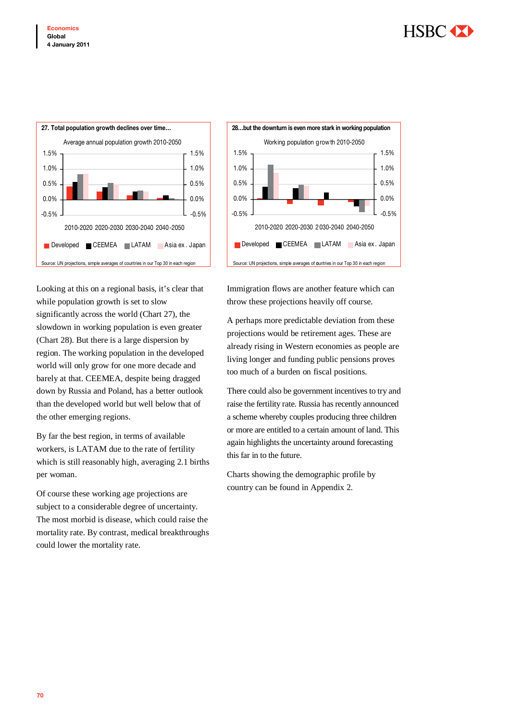



**HSBC OX** 

Looking at this on a regional basis, it's clear that while population growth is set to slow significantly across the world (Chart 27), the slowdown in working population is even greater (Chart 28). But there is a large dispersion by region. The working population in the developed world will only grow for one more decade and barely at that. CEEMEA, despite being dragged down by Russia and Poland, has a better outlook than the developed world but well below that of the other emerging regions.

By far the best region, in terms of available workers, is LATAM due to the rate of fertility which is still reasonably high, averaging 2.1 births per woman.

Of course these working age projections are subject to a considerable degree of uncertainty. The most morbid is disease, which could raise the mortality rate. By contrast, medical breakthroughs could lower the mortality rate.

Immigration flows are another feature which can throw these projections heavily off course.

A perhaps more predictable deviation from these projections would be retirement ages. These are already rising in Western economies as people are living longer and funding public pensions proves too much of a burden on fiscal positions.

There could also be government incentives to try and raise the fertility rate. Russia has recently announced a scheme whereby couples producing three children or more are entitled to a certain amount of land. This again highlights the uncertainty around forecasting this far in to the future.

Charts showing the demographic profile by country can be found in Appendix 2.

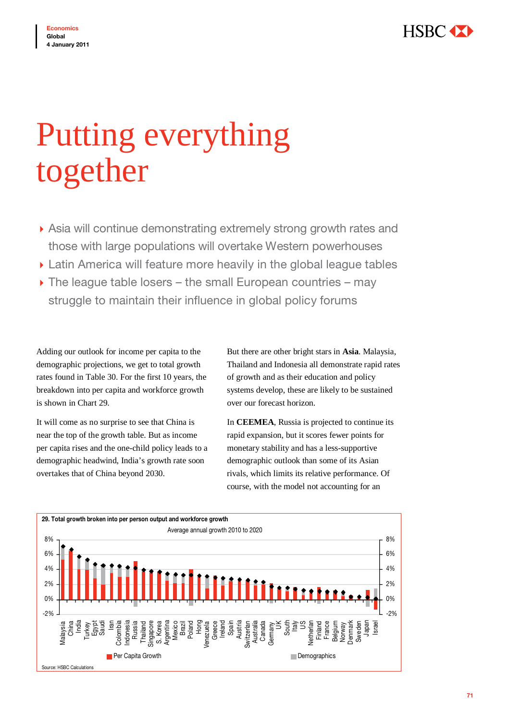

## Putting everything together

- Asia will continue demonstrating extremely strong growth rates and those with large populations will overtake Western powerhouses
- Latin America will feature more heavily in the global league tables
- ▶ The league table losers the small European countries may struggle to maintain their influence in global policy forums

Adding our outlook for income per capita to the demographic projections, we get to total growth rates found in Table 30. For the first 10 years, the breakdown into per capita and workforce growth is shown in Chart 29.

It will come as no surprise to see that China is near the top of the growth table. But as income per capita rises and the one-child policy leads to a demographic headwind, India's growth rate soon overtakes that of China beyond 2030.

But there are other bright stars in **Asia**. Malaysia, Thailand and Indonesia all demonstrate rapid rates of growth and as their education and policy systems develop, these are likely to be sustained over our forecast horizon.

In **CEEMEA**, Russia is projected to continue its rapid expansion, but it scores fewer points for monetary stability and has a less-supportive demographic outlook than some of its Asian rivals, which limits its relative performance. Of course, with the model not accounting for an

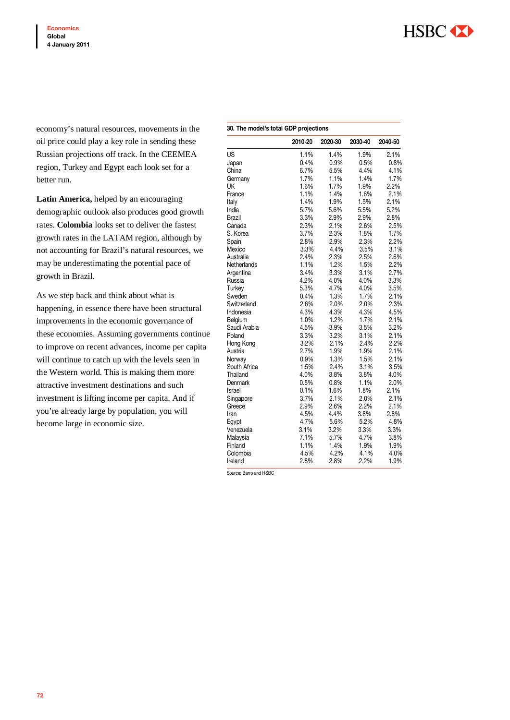economy's natural resources, movements in the oil price could play a key role in sending these Russian projections off track. In the CEEMEA region, Turkey and Egypt each look set for a better run.

**Latin America,** helped by an encouraging demographic outlook also produces good growth rates. **Colombia** looks set to deliver the fastest growth rates in the LATAM region, although by not accounting for Brazil's natural resources, we may be underestimating the potential pace of growth in Brazil.

As we step back and think about what is happening, in essence there have been structural improvements in the economic governance of these economies. Assuming governments continue to improve on recent advances, income per capita will continue to catch up with the levels seen in the Western world. This is making them more attractive investment destinations and such investment is lifting income per capita. And if you're already large by population, you will become large in economic size.

#### 30. The model's total GDP projections

|               | 2010-20 | 2020-30 | 2030-40 | 2040-50 |
|---------------|---------|---------|---------|---------|
| US            | 1.1%    | 1.4%    | 1.9%    | 2.1%    |
| Japan         | 0.4%    | 0.9%    | 0.5%    | 0.8%    |
| China         | 6.7%    | 5.5%    | 4.4%    | 4.1%    |
| Germany       | 1.7%    | 1.1%    | 1.4%    | 1.7%    |
| UK            | 1.6%    | 1.7%    | 1.9%    | 2.2%    |
| France        | 1.1%    | 1.4%    | 1.6%    | 2.1%    |
| Italy         | 1.4%    | 1.9%    | 1.5%    | 2.1%    |
| India         | 5.7%    | 5.6%    | 5.5%    | 5.2%    |
| <b>Brazil</b> | 3.3%    | 2.9%    | 2.9%    | 2.8%    |
| Canada        | 2.3%    | 2.1%    | 2.6%    | 2.5%    |
| S. Korea      | 3.7%    | 2.3%    | 1.8%    | 1.7%    |
| Spain         | 2.8%    | 2.9%    | 2.3%    | 2.2%    |
| Mexico        | 3.3%    | 4.4%    | 3.5%    | 3.1%    |
| Australia     | 2.4%    | 2.3%    | 2.5%    | 2.6%    |
| Netherlands   | 1.1%    | 1.2%    | 1.5%    | 2.2%    |
| Argentina     | 3.4%    | 3.3%    | 3.1%    | 2.7%    |
| Russia        | 4.2%    | 4.0%    | 4.0%    | 3.3%    |
| Turkey        | 5.3%    | 4.7%    | 4.0%    | 3.5%    |
| Sweden        | 0.4%    | 1.3%    | 1.7%    | 2.1%    |
| Switzerland   | 2.6%    | 2.0%    | 2.0%    | 2.3%    |
| Indonesia     | 4.3%    | 4.3%    | 4.3%    | 4.5%    |
| Belgium       | 1.0%    | 1.2%    | 1.7%    | 2.1%    |
| Saudi Arabia  | 4.5%    | 3.9%    | 3.5%    | 3.2%    |
| Poland        | 3.3%    | 3.2%    | 3.1%    | 2.1%    |
| Hong Kong     | 3.2%    | 2.1%    | 2.4%    | 2.2%    |
| Austria       | 2.7%    | 1.9%    | 1.9%    | 2.1%    |
| Norway        | 0.9%    | 1.3%    | 1.5%    | 2.1%    |
| South Africa  | 1.5%    | 2.4%    | 3.1%    | 3.5%    |
| Thailand      | 4.0%    | 3.8%    | 3.8%    | 4.0%    |
| Denmark       | 0.5%    | 0.8%    | 1.1%    | 2.0%    |
| Israel        | 0.1%    | 1.6%    | 1.8%    | 2.1%    |
| Singapore     | 3.7%    | 2.1%    | 2.0%    | 2.1%    |
| Greece        | 2.9%    | 2.6%    | 2.2%    | 2.1%    |
| Iran          | 4.5%    | 4.4%    | 3.8%    | 2.8%    |
| Egypt         | 4.7%    | 5.6%    | 5.2%    | 4.8%    |
| Venezuela     | 3.1%    | 3.2%    | 3.3%    | 3.3%    |
| Malaysia      | 7.1%    | 5.7%    | 4.7%    | 3.8%    |
| Finland       | 1.1%    | 1.4%    | 1.9%    | 1.9%    |
| Colombia      | 4.5%    | 4.2%    | 4.1%    | 4.0%    |
| Ireland       | 2.8%    | 2.8%    | 2.2%    | 1.9%    |

Source: Barro and HSBC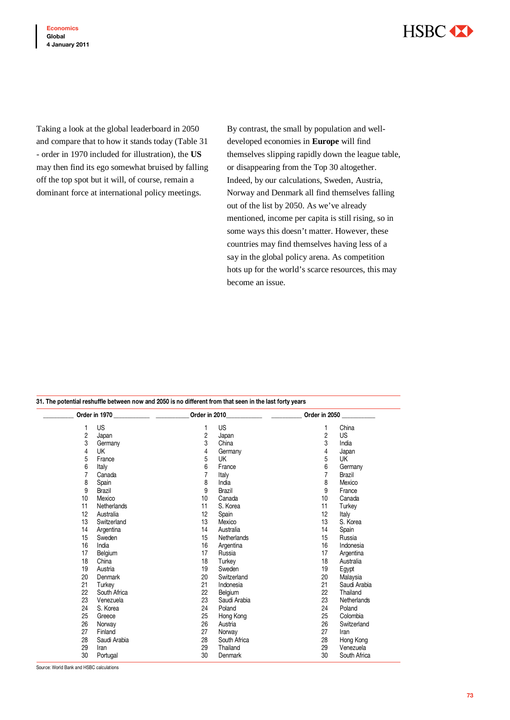Economics Global 4 January 2011



Taking a look at the global leaderboard in 2050 and compare that to how it stands today (Table 31 - order in 1970 included for illustration), the **US** may then find its ego somewhat bruised by falling off the top spot but it will, of course, remain a dominant force at international policy meetings.

By contrast, the small by population and welldeveloped economies in **Europe** will find themselves slipping rapidly down the league table, or disappearing from the Top 30 altogether. Indeed, by our calculations, Sweden, Austria, Norway and Denmark all find themselves falling out of the list by 2050. As we've already mentioned, income per capita is still rising, so in some ways this doesn't matter. However, these countries may find themselves having less of a say in the global policy arena. As competition hots up for the world's scarce resources, this may become an issue.

#### 31. The potential reshuffle between now and 2050 is no different from that seen in the last forty years

|                | Order in 1970 and the state of the state of the state of the state of the state of the state of the state of the state of the state of the state of the state of the state of the state of the state of the state of the state | Order in 2010  |              | Order in 2050  |                    |
|----------------|--------------------------------------------------------------------------------------------------------------------------------------------------------------------------------------------------------------------------------|----------------|--------------|----------------|--------------------|
| 1              | US                                                                                                                                                                                                                             | 1              | <b>US</b>    | 1              | China              |
| $\overline{c}$ | Japan                                                                                                                                                                                                                          | $\overline{c}$ | Japan        | $\overline{c}$ | US                 |
| 3              | Germany                                                                                                                                                                                                                        | 3              | China        | 3              | India              |
| 4              | UK                                                                                                                                                                                                                             | 4              | Germany      | 4              | Japan              |
| 5              | France                                                                                                                                                                                                                         | 5              | UK           | 5              | UK                 |
| 6              | Italy                                                                                                                                                                                                                          | 6              | France       | 6              | Germany            |
| 7              | Canada                                                                                                                                                                                                                         | 7              | Italy        | $\overline{7}$ | Brazil             |
| 8              | Spain                                                                                                                                                                                                                          | 8              | India        | 8              | Mexico             |
| 9              | <b>Brazil</b>                                                                                                                                                                                                                  | 9              | Brazil       | 9              | France             |
| 10             | Mexico                                                                                                                                                                                                                         | 10             | Canada       | 10             | Canada             |
| 11             | Netherlands                                                                                                                                                                                                                    | 11             | S. Korea     | 11             | Turkey             |
| 12             | Australia                                                                                                                                                                                                                      | 12             | Spain        | 12             | Italy              |
| 13             | Switzerland                                                                                                                                                                                                                    | 13             | Mexico       | 13             | S. Korea           |
| 14             | Argentina                                                                                                                                                                                                                      | 14             | Australia    | 14             | Spain              |
| 15             | Sweden                                                                                                                                                                                                                         | 15             | Netherlands  | 15             | Russia             |
| 16             | India                                                                                                                                                                                                                          | 16             | Argentina    | 16             | Indonesia          |
| 17             | Belgium                                                                                                                                                                                                                        | 17             | Russia       | 17             | Argentina          |
| 18             | China                                                                                                                                                                                                                          | 18             | Turkey       | 18             | Australia          |
| 19             | Austria                                                                                                                                                                                                                        | 19             | Sweden       | 19             | Egypt              |
| 20             | Denmark                                                                                                                                                                                                                        | 20             | Switzerland  | 20             | Malaysia           |
| 21             | Turkey                                                                                                                                                                                                                         | 21             | Indonesia    | 21             | Saudi Arabia       |
| 22             | South Africa                                                                                                                                                                                                                   | 22             | Belgium      | 22             | Thailand           |
| 23             | Venezuela                                                                                                                                                                                                                      | 23             | Saudi Arabia | 23             | <b>Netherlands</b> |
| 24             | S. Korea                                                                                                                                                                                                                       | 24             | Poland       | 24             | Poland             |
| 25             | Greece                                                                                                                                                                                                                         | 25             | Hong Kong    | 25             | Colombia           |
| 26             | Norway                                                                                                                                                                                                                         | 26             | Austria      | 26             | Switzerland        |
| 27             | Finland                                                                                                                                                                                                                        | 27             | Norway       | 27             | Iran               |
| 28             | Saudi Arabia                                                                                                                                                                                                                   | 28             | South Africa | 28             | Hong Kong          |
| 29             | Iran                                                                                                                                                                                                                           | 29             | Thailand     | 29             | Venezuela          |
| 30             | Portugal                                                                                                                                                                                                                       | 30             | Denmark      | 30             | South Africa       |

Source: World Bank and HSBC calculations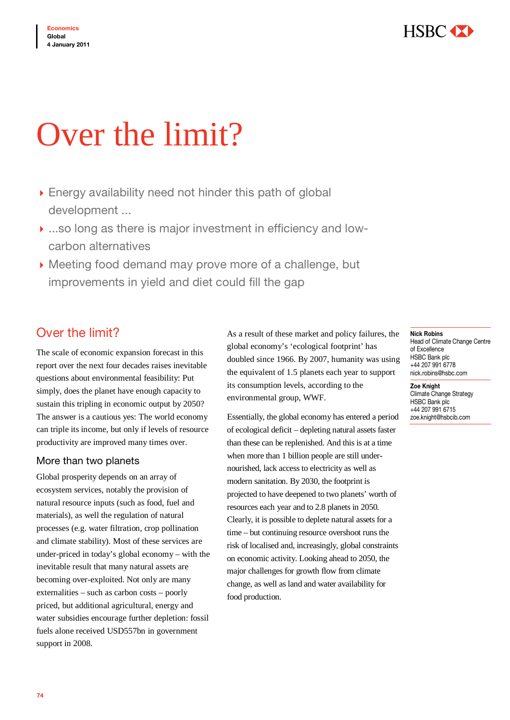## Over the limit?

- Energy availability need not hinder this path of global development ...
- $\blacktriangleright$  ...so long as there is major investment in efficiency and lowcarbon alternatives
- Meeting food demand may prove more of a challenge, but improvements in yield and diet could fill the gap

### Over the limit?

The scale of economic expansion forecast in this report over the next four decades raises inevitable questions about environmental feasibility: Put simply, does the planet have enough capacity to sustain this tripling in economic output by 2050? The answer is a cautious yes: The world economy can triple its income, but only if levels of resource productivity are improved many times over.

### More than two planets

Global prosperity depends on an array of ecosystem services, notably the provision of natural resource inputs (such as food, fuel and materials), as well the regulation of natural processes (e.g. water filtration, crop pollination and climate stability). Most of these services are under-priced in today's global economy – with the inevitable result that many natural assets are becoming over-exploited. Not only are many externalities – such as carbon costs – poorly priced, but additional agricultural, energy and water subsidies encourage further depletion: fossil fuels alone received USD557bn in government support in 2008.

As a result of these market and policy failures, the global economy's 'ecological footprint' has doubled since 1966. By 2007, humanity was using the equivalent of 1.5 planets each year to support its consumption levels, according to the environmental group, WWF.

Essentially, the global economy has entered a period of ecological deficit – depleting natural assets faster than these can be replenished. And this is at a time when more than 1 billion people are still undernourished, lack access to electricity as well as modern sanitation. By 2030, the footprint is projected to have deepened to two planets' worth of resources each year and to 2.8 planets in 2050. Clearly, it is possible to deplete natural assets for a time – but continuing resource overshoot runs the risk of localised and, increasingly, global constraints on economic activity. Looking ahead to 2050, the major challenges for growth flow from climate change, as well as land and water availability for food production.

#### Nick Robins Head of Climate Change Centre of Excellence HSBC Bank plc +44 207 991 6778

nick.robins@hsbc.com Zoe Knight Climate Change Strategy

HSBC Bank plc +44 207 991 6715 zoe.knight@hsbcib.com

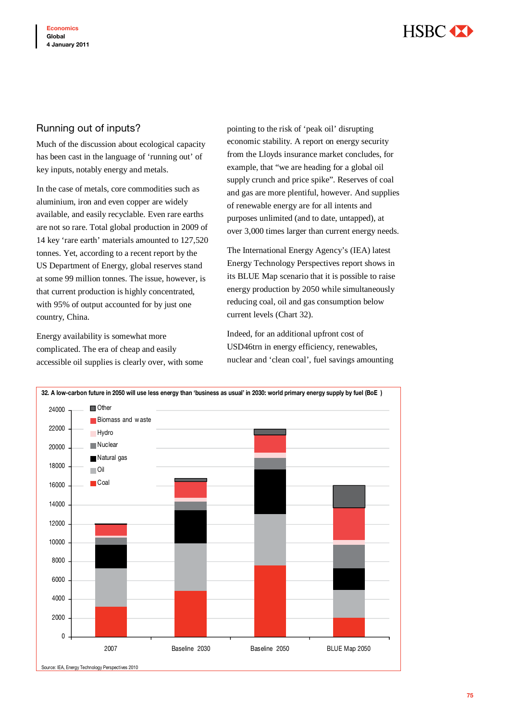

### Running out of inputs?

Much of the discussion about ecological capacity has been cast in the language of 'running out' of key inputs, notably energy and metals.

In the case of metals, core commodities such as aluminium, iron and even copper are widely available, and easily recyclable. Even rare earths are not so rare. Total global production in 2009 of 14 key 'rare earth' materials amounted to 127,520 tonnes. Yet, according to a recent report by the US Department of Energy, global reserves stand at some 99 million tonnes. The issue, however, is that current production is highly concentrated, with 95% of output accounted for by just one country, China.

Energy availability is somewhat more complicated. The era of cheap and easily accessible oil supplies is clearly over, with some

pointing to the risk of 'peak oil' disrupting economic stability. A report on energy security from the Lloyds insurance market concludes, for example, that "we are heading for a global oil supply crunch and price spike". Reserves of coal and gas are more plentiful, however. And supplies of renewable energy are for all intents and purposes unlimited (and to date, untapped), at over 3,000 times larger than current energy needs.

The International Energy Agency's (IEA) latest Energy Technology Perspectives report shows in its BLUE Map scenario that it is possible to raise energy production by 2050 while simultaneously reducing coal, oil and gas consumption below current levels (Chart 32).

Indeed, for an additional upfront cost of USD46trn in energy efficiency, renewables, nuclear and 'clean coal', fuel savings amounting

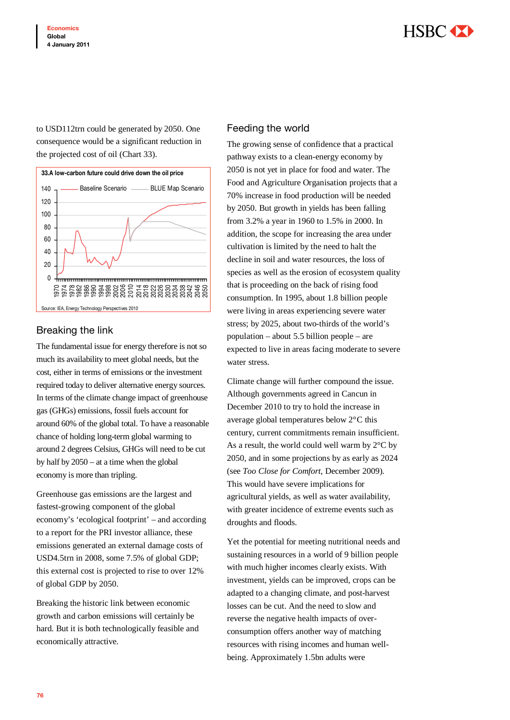

to USD112trn could be generated by 2050. One consequence would be a significant reduction in the projected cost of oil (Chart 33).



### Breaking the link

The fundamental issue for energy therefore is not so much its availability to meet global needs, but the cost, either in terms of emissions or the investment required today to deliver alternative energy sources. In terms of the climate change impact of greenhouse gas (GHGs) emissions, fossil fuels account for around 60% of the global total. To have a reasonable chance of holding long-term global warming to around 2 degrees Celsius, GHGs will need to be cut by half by 2050 – at a time when the global economy is more than tripling.

Greenhouse gas emissions are the largest and fastest-growing component of the global economy's 'ecological footprint' – and according to a report for the PRI investor alliance, these emissions generated an external damage costs of USD4.5trn in 2008, some 7.5% of global GDP; this external cost is projected to rise to over 12% of global GDP by 2050.

Breaking the historic link between economic growth and carbon emissions will certainly be hard. But it is both technologically feasible and economically attractive.

### Feeding the world

The growing sense of confidence that a practical pathway exists to a clean-energy economy by 2050 is not yet in place for food and water. The Food and Agriculture Organisation projects that a 70% increase in food production will be needed by 2050. But growth in yields has been falling from 3.2% a year in 1960 to 1.5% in 2000. In addition, the scope for increasing the area under cultivation is limited by the need to halt the decline in soil and water resources, the loss of species as well as the erosion of ecosystem quality that is proceeding on the back of rising food consumption. In 1995, about 1.8 billion people were living in areas experiencing severe water stress; by 2025, about two-thirds of the world's population – about 5.5 billion people – are expected to live in areas facing moderate to severe water stress.

Climate change will further compound the issue. Although governments agreed in Cancun in December 2010 to try to hold the increase in average global temperatures below 2°C this century, current commitments remain insufficient. As a result, the world could well warm by  $2^{\circ}$ C by 2050, and in some projections by as early as 2024 (see *Too Close for Comfort*, December 2009). This would have severe implications for agricultural yields, as well as water availability, with greater incidence of extreme events such as droughts and floods.

Yet the potential for meeting nutritional needs and sustaining resources in a world of 9 billion people with much higher incomes clearly exists. With investment, yields can be improved, crops can be adapted to a changing climate, and post-harvest losses can be cut. And the need to slow and reverse the negative health impacts of overconsumption offers another way of matching resources with rising incomes and human wellbeing. Approximately 1.5bn adults were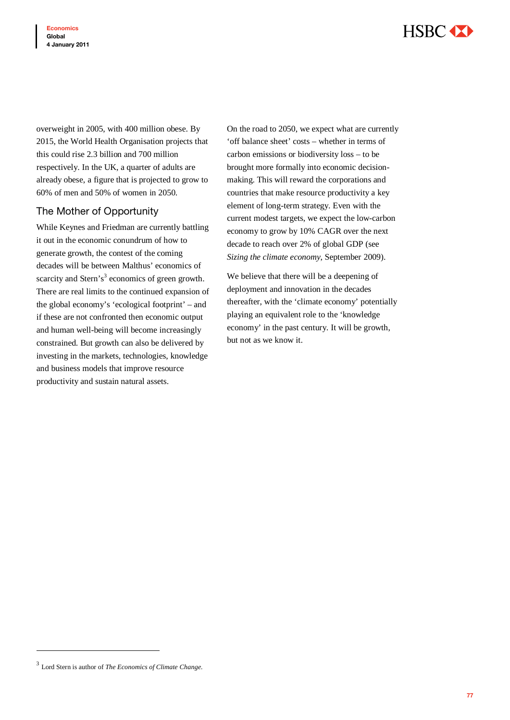

overweight in 2005, with 400 million obese. By 2015, the World Health Organisation projects that this could rise 2.3 billion and 700 million respectively. In the UK, a quarter of adults are already obese, a figure that is projected to grow to 60% of men and 50% of women in 2050.

### The Mother of Opportunity

While Keynes and Friedman are currently battling it out in the economic conundrum of how to generate growth, the contest of the coming decades will be between Malthus' economics of scarcity and Stern's<sup>3</sup> economics of green growth. There are real limits to the continued expansion of the global economy's 'ecological footprint' – and if these are not confronted then economic output and human well-being will become increasingly constrained. But growth can also be delivered by investing in the markets, technologies, knowledge and business models that improve resource productivity and sustain natural assets.

On the road to 2050, we expect what are currently 'off balance sheet' costs – whether in terms of carbon emissions or biodiversity loss – to be brought more formally into economic decisionmaking. This will reward the corporations and countries that make resource productivity a key element of long-term strategy. Even with the current modest targets, we expect the low-carbon economy to grow by 10% CAGR over the next decade to reach over 2% of global GDP (see *Sizing the climate economy*, September 2009).

We believe that there will be a deepening of deployment and innovation in the decades thereafter, with the 'climate economy' potentially playing an equivalent role to the 'knowledge economy' in the past century. It will be growth, but not as we know it.

 $\overline{a}$ 

<sup>3</sup> Lord Stern is author of *The Economics of Climate Change.*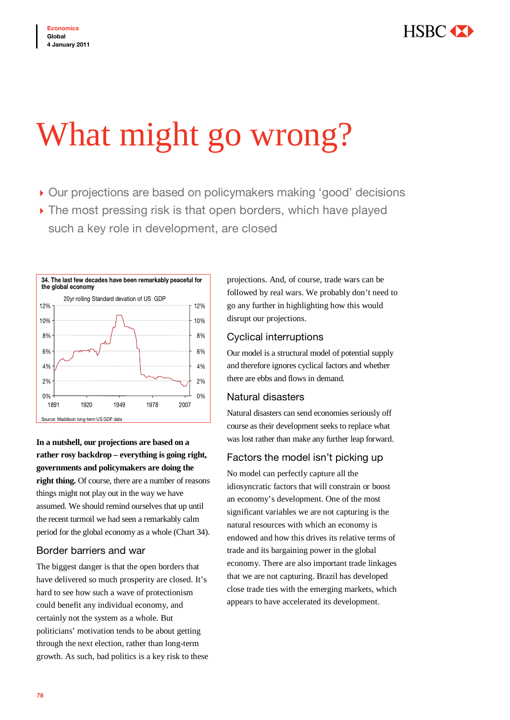

## What might go wrong?

- Our projections are based on policymakers making 'good' decisions
- The most pressing risk is that open borders, which have played such a key role in development, are closed



**In a nutshell, our projections are based on a rather rosy backdrop – everything is going right, governments and policymakers are doing the right thing.** Of course, there are a number of reasons things might not play out in the way we have assumed. We should remind ourselves that up until the recent turmoil we had seen a remarkably calm period for the global economy as a whole (Chart 34).

### Border barriers and war

The biggest danger is that the open borders that have delivered so much prosperity are closed. It's hard to see how such a wave of protectionism could benefit any individual economy, and certainly not the system as a whole. But politicians' motivation tends to be about getting through the next election, rather than long-term growth. As such, bad politics is a key risk to these projections. And, of course, trade wars can be followed by real wars. We probably don't need to go any further in highlighting how this would disrupt our projections.

### Cyclical interruptions

Our model is a structural model of potential supply and therefore ignores cyclical factors and whether there are ebbs and flows in demand.

### Natural disasters

Natural disasters can send economies seriously off course as their development seeks to replace what was lost rather than make any further leap forward.

### Factors the model isn't picking up

No model can perfectly capture all the idiosyncratic factors that will constrain or boost an economy's development. One of the most significant variables we are not capturing is the natural resources with which an economy is endowed and how this drives its relative terms of trade and its bargaining power in the global economy. There are also important trade linkages that we are not capturing. Brazil has developed close trade ties with the emerging markets, which appears to have accelerated its development.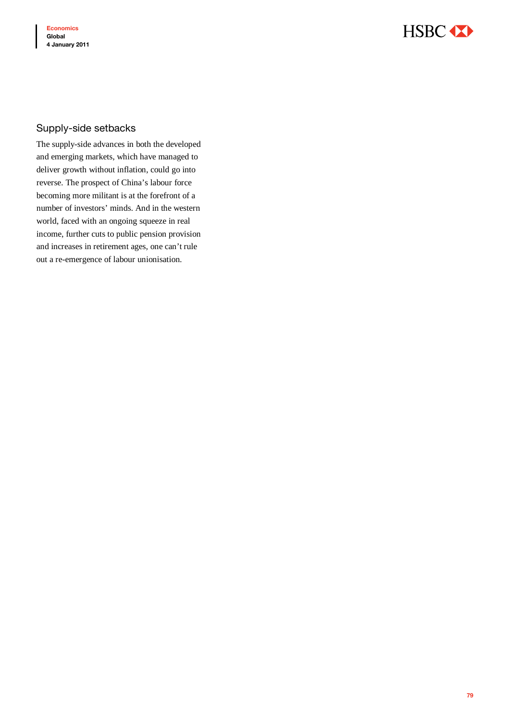

### Supply-side setbacks

The supply-side advances in both the developed and emerging markets, which have managed to deliver growth without inflation, could go into reverse. The prospect of China's labour force becoming more militant is at the forefront of a number of investors' minds. And in the western world, faced with an ongoing squeeze in real income, further cuts to public pension provision and increases in retirement ages, one can't rule out a re-emergence of labour unionisation.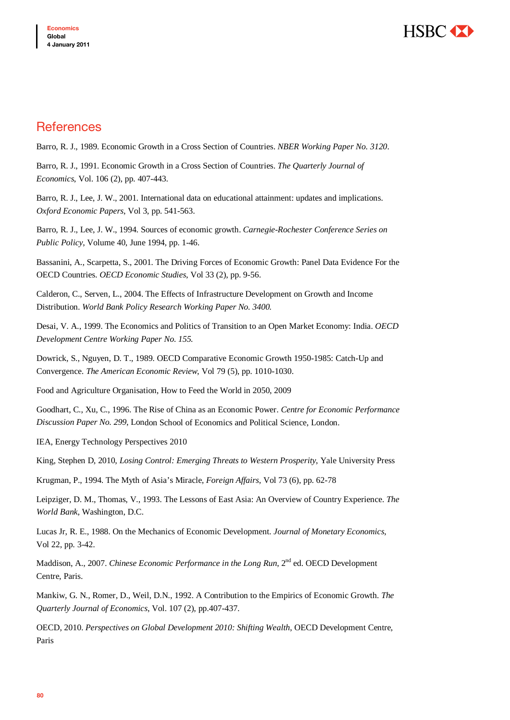

### **References**

Barro, R. J., 1989. Economic Growth in a Cross Section of Countries. *NBER Working Paper No. 3120*.

Barro, R. J., 1991. Economic Growth in a Cross Section of Countries. *The Quarterly Journal of Economics*, Vol. 106 (2), pp. 407-443.

Barro, R. J., Lee, J. W., 2001. International data on educational attainment: updates and implications. *Oxford Economic Papers*, Vol 3, pp. 541-563.

Barro, R. J., Lee, J. W., 1994. Sources of economic growth. *Carnegie-Rochester Conference Series on Public Policy*, Volume 40, June 1994, pp. 1-46.

Bassanini, A., Scarpetta, S., 2001. The Driving Forces of Economic Growth: Panel Data Evidence For the OECD Countries. *OECD Economic Studies*, Vol 33 (2), pp. 9-56.

Calderon, C., Serven, L., 2004. The Effects of Infrastructure Development on Growth and Income Distribution. *World Bank Policy Research Working Paper No. 3400.*

Desai, V. A., 1999. The Economics and Politics of Transition to an Open Market Economy: India. *OECD Development Centre Working Paper No*. *155.*

Dowrick, S., Nguyen, D. T., 1989. OECD Comparative Economic Growth 1950-1985: Catch-Up and Convergence. *The American Economic Review*, Vol 79 (5), pp. 1010-1030.

Food and Agriculture Organisation, How to Feed the World in 2050, 2009

Goodhart, C., Xu, C., 1996. The Rise of China as an Economic Power. *Centre for Economic Performance Discussion Paper No. 299*, London School of Economics and Political Science, London.

IEA, Energy Technology Perspectives 2010

King, Stephen D, 2010, *Losing Control: Emerging Threats to Western Prosperity*, Yale University Press

Krugman, P., 1994. The Myth of Asia's Miracle, *Foreign Affairs*, Vol 73 (6), pp. 62-78

Leipziger, D. M., Thomas, V., 1993. The Lessons of East Asia: An Overview of Country Experience. *The World Bank*, Washington, D.C.

Lucas Jr, R. E., 1988. On the Mechanics of Economic Development. *Journal of Monetary Economics*, Vol 22, pp. 3-42.

Maddison, A., 2007. *Chinese Economic Performance in the Long Run*, 2nd ed. OECD Development Centre, Paris.

Mankiw, G. N., Romer, D., Weil, D.N., 1992. A Contribution to the Empirics of Economic Growth. *The Quarterly Journal of Economics*, Vol. 107 (2), pp.407-437.

OECD, 2010. *Perspectives on Global Development 2010: Shifting Wealth*, OECD Development Centre, Paris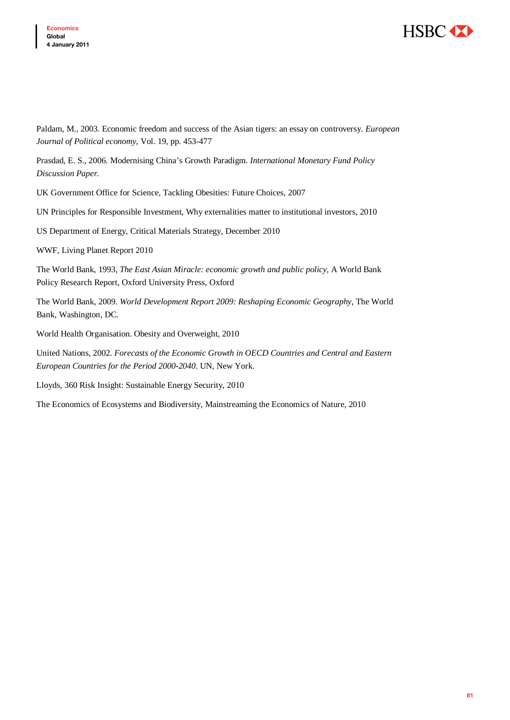

Paldam, M., 2003. Economic freedom and success of the Asian tigers: an essay on controversy. *European Journal of Political economy*, Vol. 19, pp. 453-477

Prasdad, E. S., 2006. Modernising China's Growth Paradigm. *International Monetary Fund Policy Discussion Paper.* 

UK Government Office for Science, Tackling Obesities: Future Choices, 2007

UN Principles for Responsible Investment, Why externalities matter to institutional investors, 2010

US Department of Energy, Critical Materials Strategy, December 2010

WWF, Living Planet Report 2010

The World Bank, 1993, *The East Asian Miracle: economic growth and public policy*, A World Bank Policy Research Report, Oxford University Press, Oxford

The World Bank, 2009. *World Development Report 2009: Reshaping Economic Geography*, The World Bank, Washington, DC.

World Health Organisation. Obesity and Overweight, 2010

United Nations, 2002. *Forecasts of the Economic Growth in OECD Countries and Central and Eastern European Countries for the Period 2000-2040*. UN, New York.

Lloyds, 360 Risk Insight: Sustainable Energy Security, 2010

The Economics of Ecosystems and Biodiversity, Mainstreaming the Economics of Nature, 2010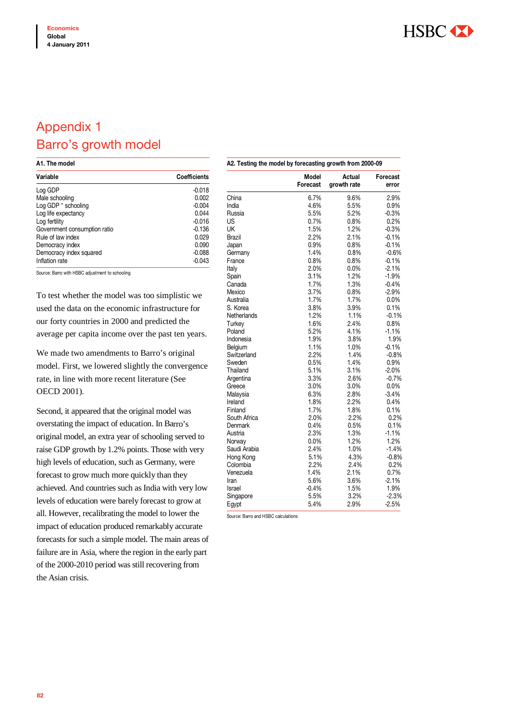### Appendix 1 Barro's growth model

### A1. The model

| Variable                     | <b>Coefficients</b> |
|------------------------------|---------------------|
| Log GDP                      | $-0.018$            |
| Male schooling               | 0.002               |
| Log GDP * schooling          | $-0.004$            |
| Log life expectancy          | 0.044               |
| Log fertility                | $-0.016$            |
| Government consumption ratio | $-0.136$            |
| Rule of law index            | 0.029               |
| Democracy index              | 0.090               |
| Democracy index squared      | $-0.088$            |
| Inflation rate               | $-0.043$            |

Source: Barro with HSBC adjustment to schooling

To test whether the model was too simplistic we used the data on the economic infrastructure for our forty countries in 2000 and predicted the average per capita income over the past ten years.

We made two amendments to Barro's original model. First, we lowered slightly the convergence rate, in line with more recent literature (See OECD 2001).

Second, it appeared that the original model was overstating the impact of education. In Barro's original model, an extra year of schooling served to raise GDP growth by 1.2% points. Those with very high levels of education, such as Germany, were forecast to grow much more quickly than they achieved. And countries such as India with very low levels of education were barely forecast to grow at all. However, recalibrating the model to lower the impact of education produced remarkably accurate forecasts for such a simple model. The main areas of failure are in Asia, where the region in the early part of the 2000-2010 period was still recovering from the Asian crisis.

|               | Model<br>Forecast | Actual<br>arowth rate | Forecast<br>error |
|---------------|-------------------|-----------------------|-------------------|
| China         | 6.7%              | 9.6%                  | 2.9%              |
| India         | 4.6%              | 5.5%                  | 0.9%              |
| Russia        | 5.5%              | 5.2%                  | $-0.3%$           |
| <b>US</b>     | 0.7%              | 0.8%                  | 0.2%              |
| UK            | 1.5%              | 1.2%                  | $-0.3%$           |
| <b>Brazil</b> | 2.2%              | 2.1%                  | $-0.1%$           |
| Japan         | 0.9%              | 0.8%                  | $-0.1%$           |
| Germany       | 1.4%              | 0.8%                  | $-0.6%$           |
| France        | 0.8%              | 0.8%                  | $-0.1%$           |
| Italy         | 2.0%              | 0.0%                  | $-2.1%$           |
| Spain         | 3.1%              | 1.2%                  | $-1.9%$           |
| Canada        | 1.7%              | 1.3%                  | $-0.4%$           |
| Mexico        | 3.7%              | 0.8%                  | $-2.9%$           |
| Australia     | 1.7%              | 1.7%                  | 0.0%              |
| S. Korea      | 3.8%              | 3.9%                  | 0.1%              |
| Netherlands   | 1.2%              | 1.1%                  | $-0.1%$           |
| Turkey        | 1.6%              | 2.4%                  | 0.8%              |
| Poland        | 5.2%              | 4.1%                  | $-1.1%$           |
| Indonesia     | 1.9%              | 3.8%                  | 1.9%              |
| Belgium       | 1.1%              | 1.0%                  | $-0.1%$           |
| Switzerland   | 2.2%              | 1.4%                  | $-0.8%$           |
| Sweden        | 0.5%              | 1.4%                  | 0.9%              |
| Thailand      | 5.1%              | 3.1%                  | $-2.0\%$          |
| Argentina     | 3.3%              | 2.6%                  | $-0.7%$           |
| Greece        | 3.0%              | 3.0%                  | 0.0%              |
| Malaysia      | 6.3%              | 2.8%                  | $-3.4%$           |
| Ireland       | 1.8%              | 2.2%                  | 0.4%              |
| Finland       | 1.7%              | 1.8%                  | 0.1%              |
| South Africa  | 2.0%              | 2.2%                  | 0.2%              |
| Denmark       | 0.4%              | 0.5%                  | 0.1%              |
| Austria       | 2.3%              | 1.3%                  | $-1.1%$           |
| Norway        | 0.0%              | 1.2%                  | 1.2%              |
| Saudi Arabia  | 2.4%              | 1.0%                  | $-1.4%$           |
| Hong Kong     | 5.1%              | 4.3%                  | $-0.8%$           |
| Colombia      | 2.2%              | 2.4%                  | 0.2%              |
| Venezuela     | 1.4%              | 2.1%                  | 0.7%              |
| Iran          | 5.6%              | 3.6%                  | $-2.1%$           |
| Israel        | $-0.4%$           | 1.5%                  | 1.9%              |
| Singapore     | 5.5%              | 3.2%                  | $-2.3%$           |
| Egypt         | 5.4%              | 2.9%                  | $-2.5%$           |

Source: Barro and HSBC calculations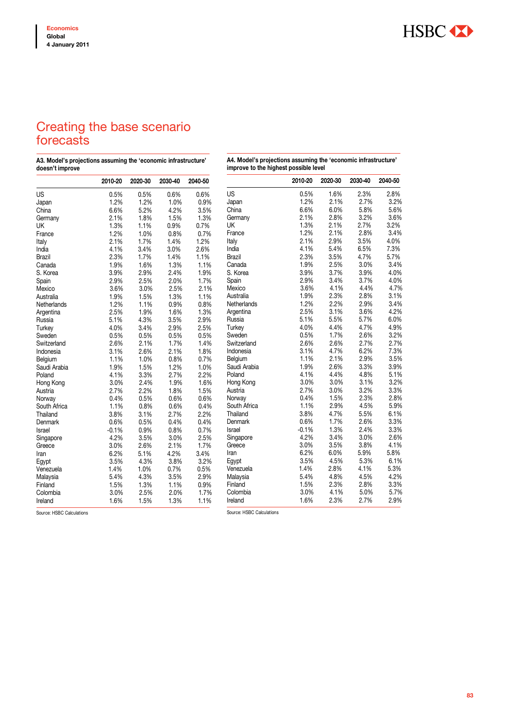### Creating the base scenario forecasts

A3. Model's projections assuming the 'economic infrastructure' doesn't improve

A4. Model's projections assuming the 'economic infrastructure' improve to the highest possible level

| uvvui tiilipivt |         |         |         | pv.v w w.v g |               |         |         |         |         |
|-----------------|---------|---------|---------|--------------|---------------|---------|---------|---------|---------|
|                 | 2010-20 | 2020-30 | 2030-40 | 2040-50      |               | 2010-20 | 2020-30 | 2030-40 | 2040-50 |
| US              | 0.5%    | 0.5%    | 0.6%    | 0.6%         | <b>US</b>     | 0.5%    | 1.6%    | 2.3%    | 2.8%    |
| Japan           | 1.2%    | 1.2%    | 1.0%    | 0.9%         | Japan         | 1.2%    | 2.1%    | 2.7%    | 3.2%    |
| China           | 6.6%    | 5.2%    | 4.2%    | 3.5%         | China         | 6.6%    | 6.0%    | 5.8%    | 5.6%    |
| Germany         | 2.1%    | 1.8%    | 1.5%    | 1.3%         | Germany       | 2.1%    | 2.8%    | 3.2%    | 3.6%    |
| UK              | 1.3%    | 1.1%    | 0.9%    | 0.7%         | UK            | 1.3%    | 2.1%    | 2.7%    | 3.2%    |
| France          | 1.2%    | 1.0%    | 0.8%    | 0.7%         | France        | 1.2%    | 2.1%    | 2.8%    | 3.4%    |
| Italy           | 2.1%    | 1.7%    | 1.4%    | 1.2%         | Italy         | 2.1%    | 2.9%    | 3.5%    | 4.0%    |
| India           | 4.1%    | 3.4%    | 3.0%    | 2.6%         | India         | 4.1%    | 5.4%    | 6.5%    | 7.3%    |
| <b>Brazil</b>   | 2.3%    | 1.7%    | 1.4%    | 1.1%         | <b>Brazil</b> | 2.3%    | 3.5%    | 4.7%    | 5.7%    |
| Canada          | 1.9%    | 1.6%    | 1.3%    | 1.1%         | Canada        | 1.9%    | 2.5%    | 3.0%    | 3.4%    |
| S. Korea        | 3.9%    | 2.9%    | 2.4%    | 1.9%         | S. Korea      | 3.9%    | 3.7%    | 3.9%    | 4.0%    |
| Spain           | 2.9%    | 2.5%    | 2.0%    | 1.7%         | Spain         | 2.9%    | 3.4%    | 3.7%    | 4.0%    |
| Mexico          | 3.6%    | 3.0%    | 2.5%    | 2.1%         | Mexico        | 3.6%    | 4.1%    | 4.4%    | 4.7%    |
| Australia       | 1.9%    | 1.5%    | 1.3%    | 1.1%         | Australia     | 1.9%    | 2.3%    | 2.8%    | 3.1%    |
| Netherlands     | 1.2%    | 1.1%    | 0.9%    | 0.8%         | Netherlands   | 1.2%    | 2.2%    | 2.9%    | 3.4%    |
| Argentina       | 2.5%    | 1.9%    | 1.6%    | 1.3%         | Argentina     | 2.5%    | 3.1%    | 3.6%    | 4.2%    |
| Russia          | 5.1%    | 4.3%    | 3.5%    | 2.9%         | Russia        | 5.1%    | 5.5%    | 5.7%    | 6.0%    |
| Turkey          | 4.0%    | 3.4%    | 2.9%    | 2.5%         | Turkey        | 4.0%    | 4.4%    | 4.7%    | 4.9%    |
| Sweden          | 0.5%    | 0.5%    | 0.5%    | 0.5%         | Sweden        | 0.5%    | 1.7%    | 2.6%    | 3.2%    |
| Switzerland     | 2.6%    | 2.1%    | 1.7%    | 1.4%         | Switzerland   | 2.6%    | 2.6%    | 2.7%    | 2.7%    |
| Indonesia       | 3.1%    | 2.6%    | 2.1%    | 1.8%         | Indonesia     | 3.1%    | 4.7%    | 6.2%    | 7.3%    |
| Belgium         | 1.1%    | 1.0%    | 0.8%    | 0.7%         | Belgium       | 1.1%    | 2.1%    | 2.9%    | 3.5%    |
| Saudi Arabia    | 1.9%    | 1.5%    | 1.2%    | 1.0%         | Saudi Arabia  | 1.9%    | 2.6%    | 3.3%    | 3.9%    |
| Poland          | 4.1%    | 3.3%    | 2.7%    | 2.2%         | Poland        | 4.1%    | 4.4%    | 4.8%    | 5.1%    |
| Hong Kong       | 3.0%    | 2.4%    | 1.9%    | 1.6%         | Hong Kong     | 3.0%    | 3.0%    | 3.1%    | 3.2%    |
| Austria         | 2.7%    | 2.2%    | 1.8%    | 1.5%         | Austria       | 2.7%    | 3.0%    | 3.2%    | 3.3%    |
| Norway          | 0.4%    | 0.5%    | 0.6%    | 0.6%         | Norway        | 0.4%    | 1.5%    | 2.3%    | 2.8%    |
| South Africa    | 1.1%    | 0.8%    | 0.6%    | 0.4%         | South Africa  | 1.1%    | 2.9%    | 4.5%    | 5.9%    |
| Thailand        | 3.8%    | 3.1%    | 2.7%    | 2.2%         | Thailand      | 3.8%    | 4.7%    | 5.5%    | 6.1%    |
| Denmark         | 0.6%    | 0.5%    | 0.4%    | 0.4%         | Denmark       | 0.6%    | 1.7%    | 2.6%    | 3.3%    |
| Israel          | $-0.1%$ | 0.9%    | 0.8%    | 0.7%         | Israel        | $-0.1%$ | 1.3%    | 2.4%    | 3.3%    |
| Singapore       | 4.2%    | 3.5%    | 3.0%    | 2.5%         | Singapore     | 4.2%    | 3.4%    | 3.0%    | 2.6%    |
| Greece          | 3.0%    | 2.6%    | 2.1%    | 1.7%         | Greece        | 3.0%    | 3.5%    | 3.8%    | 4.1%    |
| Iran            | 6.2%    | 5.1%    | 4.2%    | 3.4%         | Iran          | 6.2%    | 6.0%    | 5.9%    | 5.8%    |
| Egypt           | 3.5%    | 4.3%    | 3.8%    | 3.2%         | Egypt         | 3.5%    | 4.5%    | 5.3%    | 6.1%    |
| Venezuela       | 1.4%    | 1.0%    | 0.7%    | 0.5%         | Venezuela     | 1.4%    | 2.8%    | 4.1%    | 5.3%    |
| Malaysia        | 5.4%    | 4.3%    | 3.5%    | 2.9%         | Malaysia      | 5.4%    | 4.8%    | 4.5%    | 4.2%    |
| Finland         | 1.5%    | 1.3%    | 1.1%    | 0.9%         | Finland       | 1.5%    | 2.3%    | 2.8%    | 3.3%    |
| Colombia        | 3.0%    | 2.5%    | 2.0%    | 1.7%         | Colombia      | 3.0%    | 4.1%    | 5.0%    | 5.7%    |
| Ireland         | 1.6%    | 1.5%    | 1.3%    | 1.1%         | Ireland       | 1.6%    | 2.3%    | 2.7%    | 2.9%    |
|                 |         |         |         |              |               |         |         |         |         |

Source: HSBC Calculations

Source: HSBC Calculations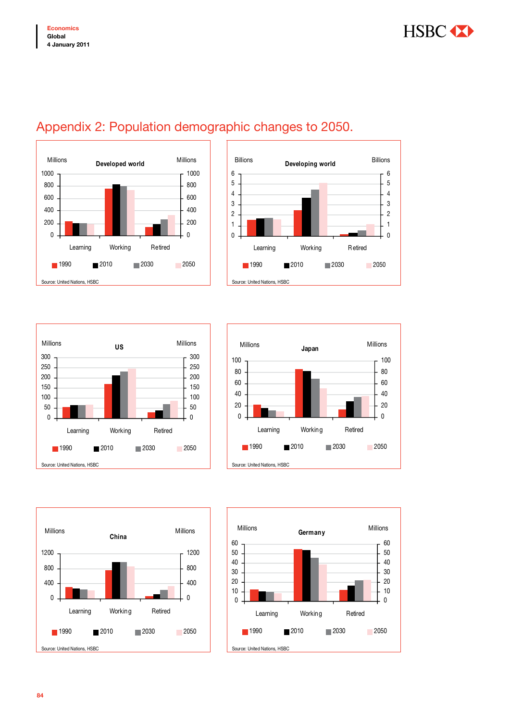



### Appendix 2: Population demographic changes to 2050.









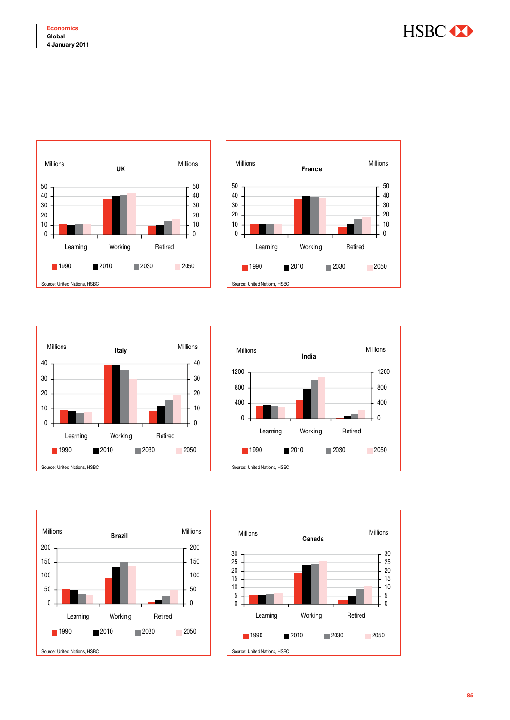











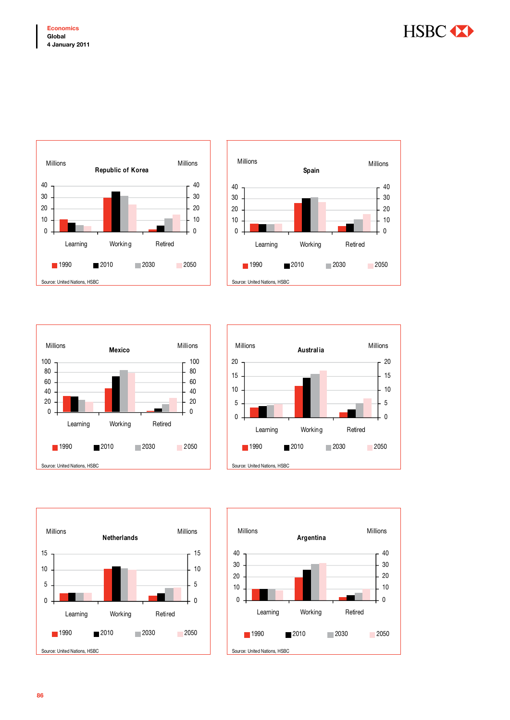











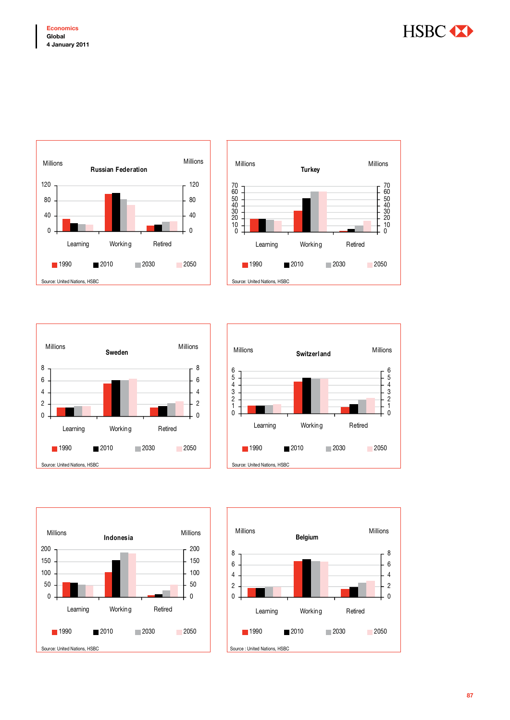











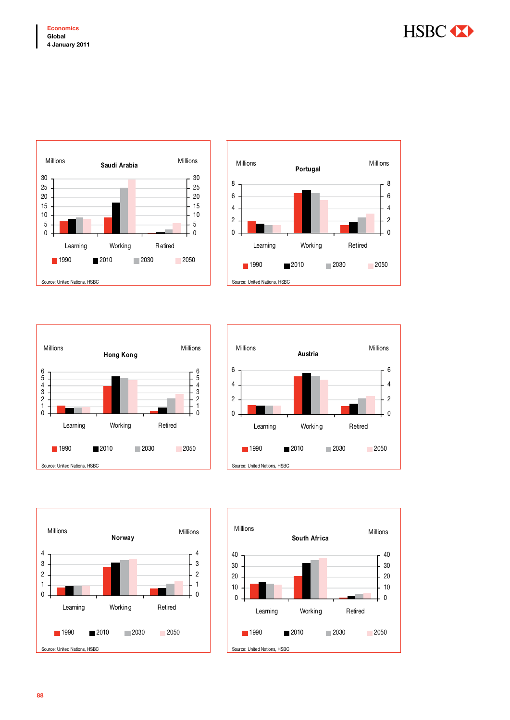











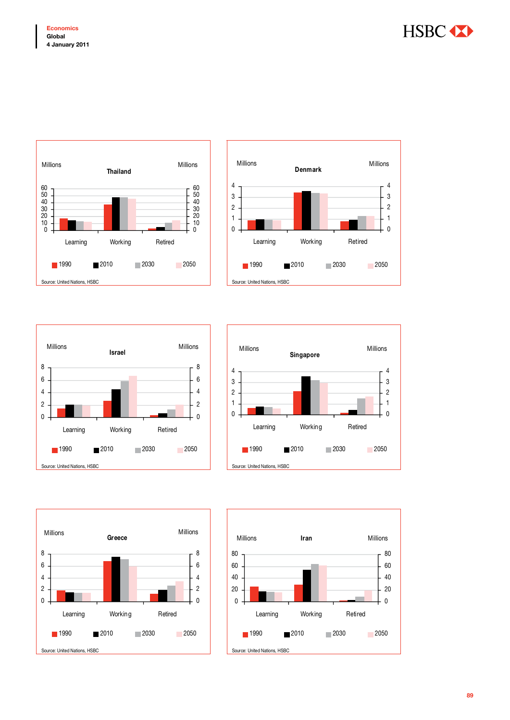











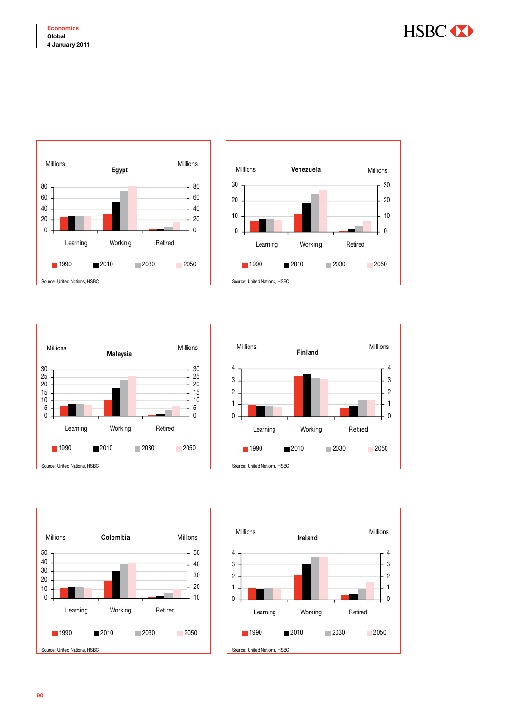











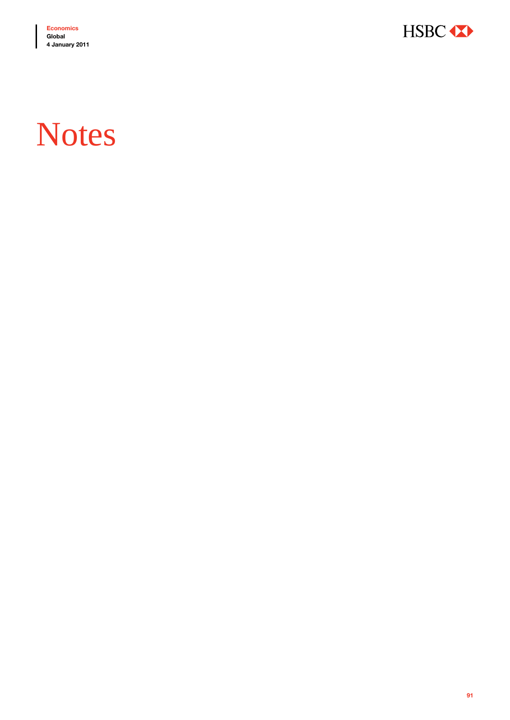Economics Global 4 January 2011

![](_page_42_Picture_1.jpeg)

## **Notes**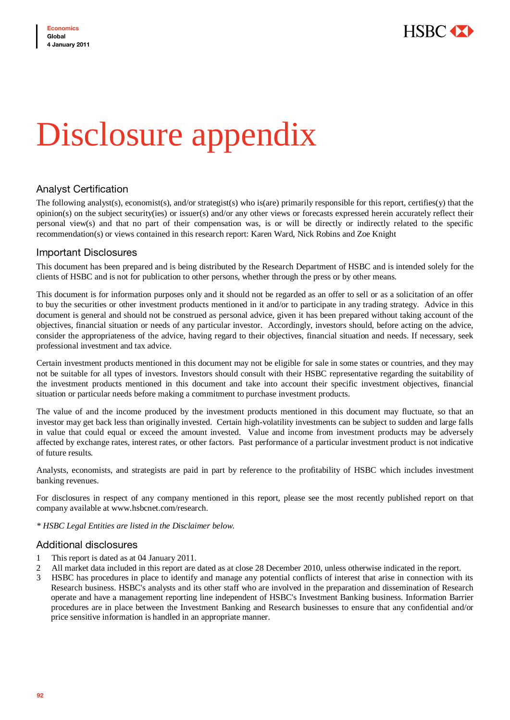![](_page_43_Picture_1.jpeg)

## Disclosure appendix

### **Analyst Certification**

The following analyst(s), economist(s), and/or strategist(s) who is(are) primarily responsible for this report, certifies(y) that the opinion(s) on the subject security(ies) or issuer(s) and/or any other views or forecasts expressed herein accurately reflect their personal view(s) and that no part of their compensation was, is or will be directly or indirectly related to the specific recommendation(s) or views contained in this research report: Karen Ward, Nick Robins and Zoe Knight

### Important Disclosures

This document has been prepared and is being distributed by the Research Department of HSBC and is intended solely for the clients of HSBC and is not for publication to other persons, whether through the press or by other means.

This document is for information purposes only and it should not be regarded as an offer to sell or as a solicitation of an offer to buy the securities or other investment products mentioned in it and/or to participate in any trading strategy. Advice in this document is general and should not be construed as personal advice, given it has been prepared without taking account of the objectives, financial situation or needs of any particular investor. Accordingly, investors should, before acting on the advice, consider the appropriateness of the advice, having regard to their objectives, financial situation and needs. If necessary, seek professional investment and tax advice.

Certain investment products mentioned in this document may not be eligible for sale in some states or countries, and they may not be suitable for all types of investors. Investors should consult with their HSBC representative regarding the suitability of the investment products mentioned in this document and take into account their specific investment objectives, financial situation or particular needs before making a commitment to purchase investment products.

The value of and the income produced by the investment products mentioned in this document may fluctuate, so that an investor may get back less than originally invested. Certain high-volatility investments can be subject to sudden and large falls in value that could equal or exceed the amount invested. Value and income from investment products may be adversely affected by exchange rates, interest rates, or other factors. Past performance of a particular investment product is not indicative of future results.

Analysts, economists, and strategists are paid in part by reference to the profitability of HSBC which includes investment banking revenues.

For disclosures in respect of any company mentioned in this report, please see the most recently published report on that company available at www.hsbcnet.com/research.

*\* HSBC Legal Entities are listed in the Disclaimer below.*

### Additional disclosures

- 1 This report is dated as at 04 January 2011.
- 2 All market data included in this report are dated as at close 28 December 2010, unless otherwise indicated in the report.
- 3 HSBC has procedures in place to identify and manage any potential conflicts of interest that arise in connection with its Research business. HSBC's analysts and its other staff who are involved in the preparation and dissemination of Research operate and have a management reporting line independent of HSBC's Investment Banking business. Information Barrier procedures are in place between the Investment Banking and Research businesses to ensure that any confidential and/or price sensitive information is handled in an appropriate manner.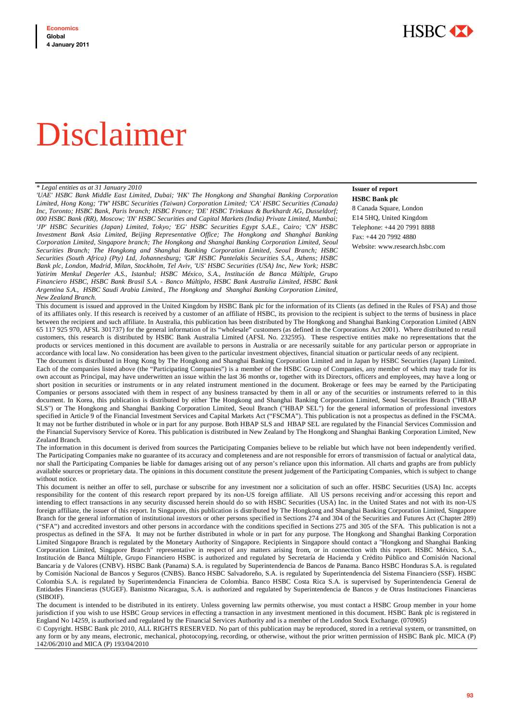![](_page_44_Picture_1.jpeg)

## Disclaimer

#### *\* Legal entities as at 31 January 2010*

*'UAE' HSBC Bank Middle East Limited, Dubai; 'HK' The Hongkong and Shanghai Banking Corporation Limited, Hong Kong; 'TW' HSBC Securities (Taiwan) Corporation Limited; 'CA' HSBC Securities (Canada) Inc, Toronto; HSBC Bank, Paris branch; HSBC France; 'DE' HSBC Trinkaus & Burkhardt AG, Dusseldorf; 000 HSBC Bank (RR), Moscow; 'IN' HSBC Securities and Capital Markets (India) Private Limited, Mumbai; 'JP' HSBC Securities (Japan) Limited, Tokyo; 'EG' HSBC Securities Egypt S.A.E., Cairo; 'CN' HSBC Investment Bank Asia Limited, Beijing Representative Office; The Hongkong and Shanghai Banking Corporation Limited, Singapore branch; The Hongkong and Shanghai Banking Corporation Limited, Seoul Securities Branch; The Hongkong and Shanghai Banking Corporation Limited, Seoul Branch; HSBC Securities (South Africa) (Pty) Ltd, Johannesburg; 'GR' HSBC Pantelakis Securities S.A., Athens; HSBC Bank plc, London, Madrid, Milan, Stockholm, Tel Aviv, 'US' HSBC Securities (USA) Inc, New York; HSBC Yatirim Menkul Degerler A.S., Istanbul; HSBC México, S.A., Institución de Banca Múltiple, Grupo Financiero HSBC, HSBC Bank Brasil S.A. - Banco Múltiplo, HSBC Bank Australia Limited, HSBC Bank Argentina S.A., HSBC Saudi Arabia Limited., The Hongkong and Shanghai Banking Corporation Limited, New Zealand Branch.* 

**Issuer of report HSBC Bank plc**

8 Canada Square, London E14 5HQ, United Kingdom Telephone: +44 20 7991 8888 Fax: +44 20 7992 4880 Website: www.research.hsbc.com

This document is issued and approved in the United Kingdom by HSBC Bank plc for the information of its Clients (as defined in the Rules of FSA) and those of its affiliates only. If this research is received by a customer of an affiliate of HSBC, its provision to the recipient is subject to the terms of business in place between the recipient and such affiliate. In Australia, this publication has been distributed by The Hongkong and Shanghai Banking Corporation Limited (ABN 65 117 925 970, AFSL 301737) for the general information of its "wholesale" customers (as defined in the Corporations Act 2001). Where distributed to retail customers, this research is distributed by HSBC Bank Australia Limited (AFSL No. 232595). These respective entities make no representations that the products or services mentioned in this document are available to persons in Australia or are necessarily suitable for any particular person or appropriate in accordance with local law. No consideration has been given to the particular investment objectives, financial situation or particular needs of any recipient. The document is distributed in Hong Kong by The Hongkong and Shanghai Banking Corporation Limited and in Japan by HSBC Securities (Japan) Limited. Each of the companies listed above (the "Participating Companies") is a member of the HSBC Group of Companies, any member of which may trade for its

own account as Principal, may have underwritten an issue within the last 36 months or, together with its Directors, officers and employees, may have a long or short position in securities or instruments or in any related instrument mentioned in the document. Brokerage or fees may be earned by the Participating Companies or persons associated with them in respect of any business transacted by them in all or any of the securities or instruments referred to in this document. In Korea, this publication is distributed by either The Hongkong and Shanghai Banking Corporation Limited, Seoul Securities Branch ("HBAP SLS") or The Hongkong and Shanghai Banking Corporation Limited, Seoul Branch ("HBAP SEL") for the general information of professional investors specified in Article 9 of the Financial Investment Services and Capital Markets Act ("FSCMA"). This publication is not a prospectus as defined in the FSCMA. It may not be further distributed in whole or in part for any purpose. Both HBAP SLS and HBAP SEL are regulated by the Financial Services Commission and the Financial Supervisory Service of Korea. This publication is distributed in New Zealand by The Hongkong and Shanghai Banking Corporation Limited, New Zealand Branch.

The information in this document is derived from sources the Participating Companies believe to be reliable but which have not been independently verified. The Participating Companies make no guarantee of its accuracy and completeness and are not responsible for errors of transmission of factual or analytical data, nor shall the Participating Companies be liable for damages arising out of any person's reliance upon this information. All charts and graphs are from publicly available sources or proprietary data. The opinions in this document constitute the present judgement of the Participating Companies, which is subject to change without notice

This document is neither an offer to sell, purchase or subscribe for any investment nor a solicitation of such an offer. HSBC Securities (USA) Inc. accepts responsibility for the content of this research report prepared by its non-US foreign affiliate. All US persons receiving and/or accessing this report and intending to effect transactions in any security discussed herein should do so with HSBC Securities (USA) Inc. in the United States and not with its non-US foreign affiliate, the issuer of this report. In Singapore, this publication is distributed by The Hongkong and Shanghai Banking Corporation Limited, Singapore Branch for the general information of institutional investors or other persons specified in Sections 274 and 304 of the Securities and Futures Act (Chapter 289) ("SFA") and accredited investors and other persons in accordance with the conditions specified in Sections 275 and 305 of the SFA. This publication is not a prospectus as defined in the SFA. It may not be further distributed in whole or in part for any purpose. The Hongkong and Shanghai Banking Corporation Limited Singapore Branch is regulated by the Monetary Authority of Singapore. Recipients in Singapore should contact a "Hongkong and Shanghai Banking Corporation Limited, Singapore Branch" representative in respect of any matters arising from, or in connection with this report. HSBC México, S.A., Institución de Banca Múltiple, Grupo Financiero HSBC is authorized and regulated by Secretaría de Hacienda y Crédito Público and Comisión Nacional Bancaria y de Valores (CNBV). HSBC Bank (Panama) S.A. is regulated by Superintendencia de Bancos de Panama. Banco HSBC Honduras S.A. is regulated by Comisión Nacional de Bancos y Seguros (CNBS). Banco HSBC Salvadoreño, S.A. is regulated by Superintendencia del Sistema Financiero (SSF). HSBC Colombia S.A. is regulated by Superintendencia Financiera de Colombia. Banco HSBC Costa Rica S.A. is supervised by Superintendencia General de Entidades Financieras (SUGEF). Banistmo Nicaragua, S.A. is authorized and regulated by Superintendencia de Bancos y de Otras Instituciones Financieras (SIBOIF).

The document is intended to be distributed in its entirety. Unless governing law permits otherwise, you must contact a HSBC Group member in your home jurisdiction if you wish to use HSBC Group services in effecting a transaction in any investment mentioned in this document. HSBC Bank plc is registered in England No 14259, is authorised and regulated by the Financial Services Authority and is a member of the London Stock Exchange. (070905)

© Copyright. HSBC Bank plc 2010, ALL RIGHTS RESERVED. No part of this publication may be reproduced, stored in a retrieval system, or transmitted, on any form or by any means, electronic, mechanical, photocopying, recording, or otherwise, without the prior written permission of HSBC Bank plc. MICA (P) 142/06/2010 and MICA (P) 193/04/2010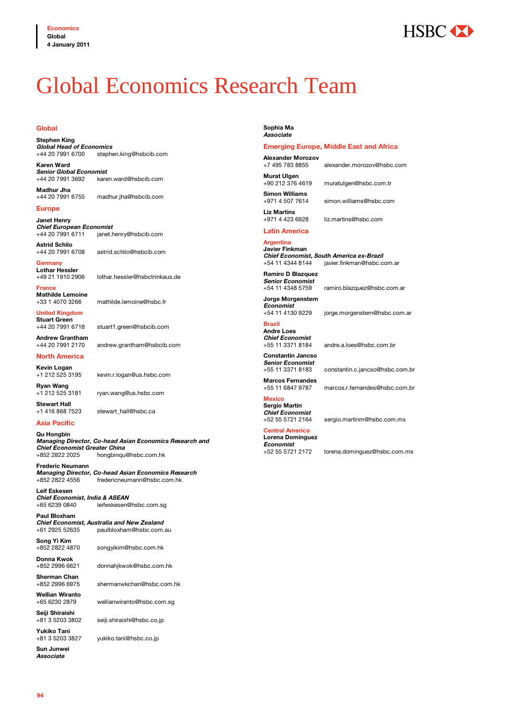![](_page_45_Picture_1.jpeg)

### Global Economics Research Team

#### Global

Stephen King Global Head of Economics +44 20 7991 6700 stephen.king@hsbcib.com

Karen Ward Senior Global Economist +44 20 7991 3692 karen.ward@hsbcib.com

**Madhur Jha**<br>+44 20 7991 6755 madhur.jha@hsbcib.com

Europe

Janet Henry **Chief European Economist**<br>+44.20.7991.6711 ianet h janet.henry@hsbcib.com

**Astrid Schilo**<br>+44 20 7991 6708

**Germany** Lothar Hessler<br>+49 21 1910 2906

lothar.hessler@hsbctrinkaus.de France

Mathilde Lemoine +33 1 4070 3266 mathilde.lemoine@hsbc.fr

United Kingdom **Stuart Green**<br>+44 20 7991 6718

Andrew Grantham +44 20 7991 2170 andrew.grantham@hsbcib.com

North America

kevin.r.logan@us.hsbc.com

astrid.schilo@hsbcib.com

stuart1.green@hsbcib.com

**Ryan Wang**<br>+1 212 525 3181 **Stewart Hall**<br>+1.416.868.7523

**Kevin Logan**<br>+1 212 525 3195

ryan.wang@us.hsbc.com

stewart\_hall@hsbc.ca

Asia Pacific

Qu Hongbin Managing Director, Co-head Asian Economics Research and Chief Economist Greater China +852 2822 2025 hongbinqu@hsbc.com.hk

Frederic Neumann Managing Director, Co-head Asian Economics Research<br>+852 2822 4556 fredericneumann@hsbc.com.hk fredericneumann@hsbc.com.hk

Leif Eskesen Chief Economist, India & ASEAN +65 6239 0840 leifeskesen@hsbc.com.sg

Paul Bloxham Chief Economist, Australia and New Zealand<br>+61 2925 52635 paulbloxham@hsbc.com. paulbloxham@hsbc.com.au

**Song Yi Kim**<br>+852 2822 4870

songyikim@hsbc.com.hk

donnahjkwok@hsbc.com.hk

shermanwkchan@hsbc.com.hk

Wellian Wiranto<br>+65 6230 2879

**Donna Kwok**<br>+852 2996 6621

**Sherman Chan**<br>+852 2996 6975

Seiji Shiraishi<br>+81 3 5203 3802

**Yukiko Tani**<br>+81 3 5203 3827

Sun Junwei Associate

Sophia Ma Associate

### Emerging Europe, Middle East and Africa

muratulgen@hsbc.com.tr

simon.williams@hsbc.com

liz.martins@hsbc.com

Alexander Morozov<br>+7 495 783 8855

alexander.morozov@hsbc.com

**Murat Ulgen**<br>+90 212 376 4619

**Simon Williams**<br> $+97145077614$ 

**Liz Martins**<br>+971 4 423 6928

#### Latin America

**Argentina** Javier Finkman Chief Economist, South America ex-Brazil +54 11 4344 8144 javier.finkman@hsbc.com.ar

Ramiro D Blazquez Senior Economist +54 11 4348 5759 ramiro.blazquez@hsbc.com.ar

Jorge Morgenstern Economist +54 11 4130 9229 jorge.morgenstern@hsbc.com.ar

Brazil Andre Loes Chief Economist  $+55$  11 3371 8184 andre a loes@hsbc.com.br

Constantin Jancso Senior Economist

Marcos Fernandes<br>+55 11 6847 9787

**Mexicc** Sergio Martin Chief Economist

Economist

+52 55 5721 2172 lorena.dominguez@hsbc.com.mx

+55 11 3371 8183 constantin.c.jancso@hsbc.com.br

marcos r fernandes@hsbc.com.br

+52 55 5721 2164 sergio.martinm@hsbc.com.mx

Central America Lorena Dominguez

wellianwiranto@hsbc.com.sg

seiji.shiraishi@hsbc.co.jp

yukiko.tani@hsbc.co.jp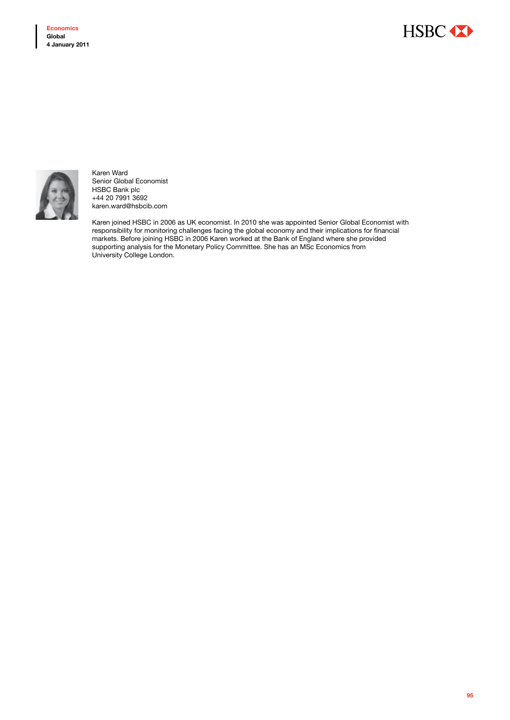![](_page_46_Picture_1.jpeg)

![](_page_46_Picture_2.jpeg)

Karen Ward Senior Global Economist HSBC Bank plc +44 20 7991 3692 karen.ward@hsbcib.com

Karen joined HSBC in 2006 as UK economist. In 2010 she was appointed Senior Global Economist with responsibility for monitoring challenges facing the global economy and their implications for financial markets. Before joining HSBC in 2006 Karen worked at the Bank of England where she provided supporting analysis for the Monetary Policy Committee. She has an MSc Economics from University College London.